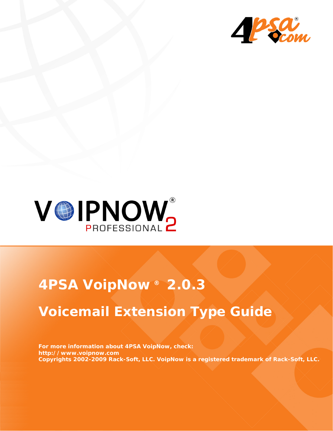



# **4PSA VoipNow ® 2.0.3**

# **Voicemail Extension Type Guide**

**For more information about 4PSA VoipNow, check: http://www.voipnow.com Copyrights 2002-2009 Rack-Soft, LLC. VoipNow is a registered trademark of Rack-Soft, LLC.**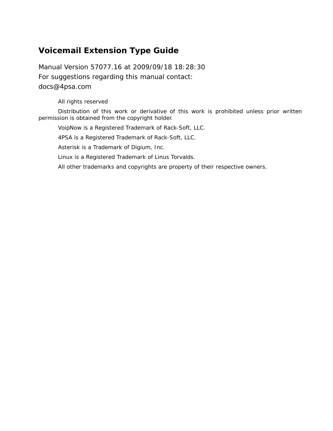### **Voicemail Extension Type Guide**

Manual Version 57077.16 at 2009/09/18 18:28:30 For suggestions regarding this manual contact: docs@4psa.com

#### All rights reserved

Distribution of this work or derivative of this work is prohibited unless prior written permission is obtained from the copyright holder.

VoipNow is a Registered Trademark of Rack-Soft, LLC.

4PSA is a Registered Trademark of Rack-Soft, LLC.

Asterisk is a Trademark of Digium, Inc.

Linux is a Registered Trademark of Linus Torvalds.

All other trademarks and copyrights are property of their respective owners.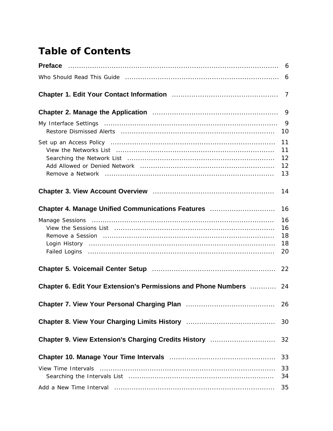### **Table of Contents**

|                                                                                  | 7                          |
|----------------------------------------------------------------------------------|----------------------------|
|                                                                                  | -9                         |
|                                                                                  | 9<br>10                    |
|                                                                                  | 11<br>11<br>12<br>12<br>13 |
|                                                                                  | 14                         |
| Chapter 4. Manage Unified Communications Features                                | 16                         |
|                                                                                  | 16<br>16<br>18<br>18<br>20 |
|                                                                                  | 22                         |
| <b>Chapter 6. Edit Your Extension's Permissions and Phone Numbers Merroughly</b> | 24                         |
|                                                                                  | 26                         |
|                                                                                  | 30                         |
| Chapter 9. View Extension's Charging Credits History                             | 32                         |
|                                                                                  | 33                         |
|                                                                                  | 33<br>34                   |
|                                                                                  | 35                         |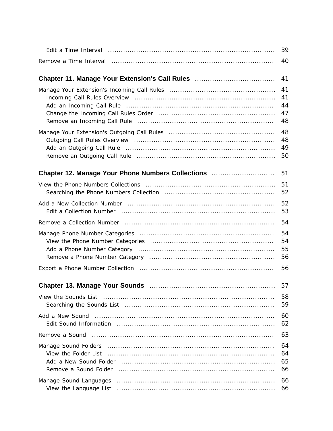|                                                                                                                                                                                                                                                                                | 39                         |
|--------------------------------------------------------------------------------------------------------------------------------------------------------------------------------------------------------------------------------------------------------------------------------|----------------------------|
|                                                                                                                                                                                                                                                                                | 40                         |
| Chapter 11. Manage Your Extension's Call Rules                                                                                                                                                                                                                                 | 41                         |
|                                                                                                                                                                                                                                                                                | 41<br>41<br>44<br>47<br>48 |
|                                                                                                                                                                                                                                                                                | 48<br>48<br>49<br>50       |
| Chapter 12. Manage Your Phone Numbers Collections                                                                                                                                                                                                                              | 51                         |
|                                                                                                                                                                                                                                                                                | 51<br>52                   |
|                                                                                                                                                                                                                                                                                | 52<br>53                   |
|                                                                                                                                                                                                                                                                                | 54                         |
|                                                                                                                                                                                                                                                                                | 54<br>54<br>55<br>56       |
|                                                                                                                                                                                                                                                                                | 56                         |
|                                                                                                                                                                                                                                                                                | 57                         |
|                                                                                                                                                                                                                                                                                | 58<br>59                   |
| Add a New Sound                                                                                                                                                                                                                                                                | 60<br>62                   |
| Remove a Sound                                                                                                                                                                                                                                                                 | 63                         |
| Manage Sound Folders<br>View the Folder List<br>Remove a Sound Folder (a) contained a substitution of Remove a Sound Folder (a) and the contained a set of Remove and Remove and Remove and Remove and Remove and Remove and Remove and Remove and Remove and Remove and Remov | 64<br>64<br>65<br>66       |
| Manage Sound Languages                                                                                                                                                                                                                                                         | 66<br>66                   |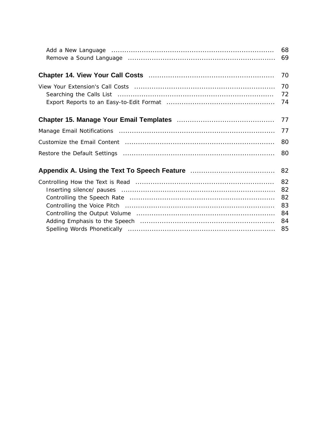| 68<br>69                               |
|----------------------------------------|
| 70                                     |
| 70<br>72<br>74                         |
| 77                                     |
| 77                                     |
| 80                                     |
| 80                                     |
| 82                                     |
| 82<br>82<br>82<br>83<br>84<br>84<br>85 |
|                                        |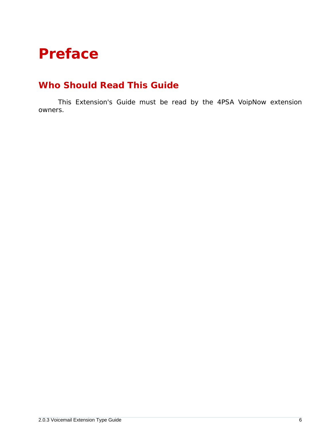# <span id="page-5-1"></span><span id="page-5-0"></span>**Preface**

### **Who Should Read This Guide**

This Extension's Guide must be read by the 4PSA VoipNow extension owners.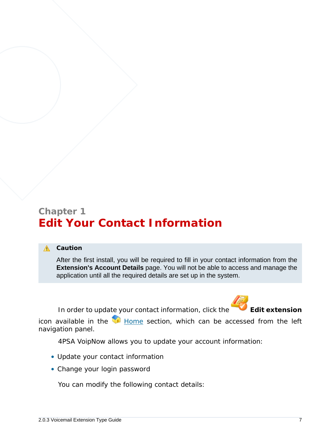### <span id="page-6-0"></span>**Chapter 1 Edit Your Contact Information**

#### **A** Caution

After the first install, you will be required to fill in your contact information from the **Extension's Account Details** page. You will not be able to access and manage the application until all the required details are set up in the system.

In order to update your contact information, click the **Edit extension** 



icon available in the  $\blacksquare$  Home section, which can be accessed from the left navigation panel.

4PSA VoipNow allows you to update your account information:

- Update your contact information
- Change your login password

You can modify the following contact details: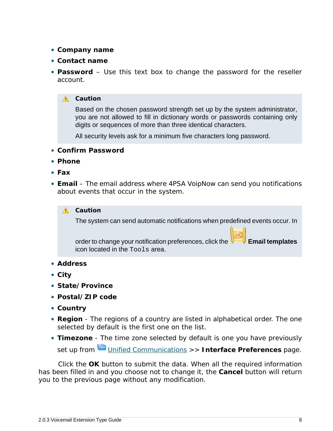- **Company name**
- **Contact name**
- **Password** Use this text box to change the password for the reseller account.
	- **A** Caution

Based on the chosen password strength set up by the system administrator, you are not allowed to fill in dictionary words or passwords containing only digits or sequences of more than three identical characters.

All security levels ask for a minimum five characters long password.

- **Confirm Password**
- **Phone**
- **Fax**
- **Email** The email address where 4PSA VoipNow can send you notifications about events that occur in the system.

#### **A** Caution

The system can send automatic notifications when predefined events occur. In

order to change your notification preferences, click the **Email templates** icon located in the Tools area.

- **Address**
- **City**
- **State/Province**
- **Postal/ZIP code**
- **Country**
- **Region** The regions of a country are listed in alphabetical order. The one selected by default is the first one on the list.
- **Timezone** The time zone selected by default is one you have previously set up from **Unified Communications >>** Interface Preferences page.

Click the **OK** button to submit the data. When all the required information has been filled in and you choose not to change it, the **Cancel** button will return you to the previous page without any modification.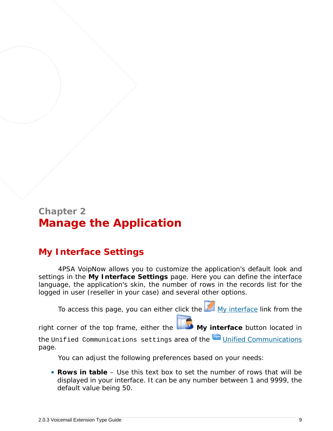### <span id="page-8-0"></span>**Chapter 2 Manage the Application**

### <span id="page-8-1"></span>**My Interface Settings**

4PSA VoipNow allows you to customize the application's default look and settings in the **My Interface Settings** page. Here you can define the interface language, the application's skin, the number of rows in the records list for the logged in user (reseller in your case) and several other options.

To access this page, you can either click the  $M_{\text{My}}$  interface link from the

right corner of the top frame, either the My interface button located in

the Unified Communications settings area of the Unified Communications page.

You can adjust the following preferences based on your needs:

• **Rows in table** – Use this text box to set the number of rows that will be displayed in your interface. It can be any number between 1 and 9999, the default value being 50.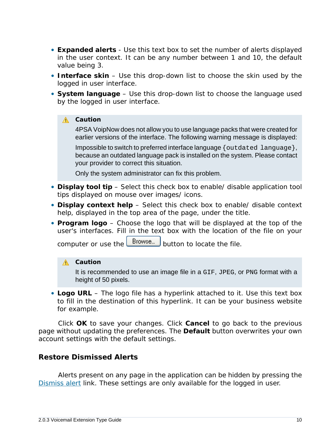- **Expanded alerts** Use this text box to set the number of alerts displayed in the user context. It can be any number between 1 and 10, the default value being 3.
- **Interface skin** Use this drop-down list to choose the skin used by the logged in user interface.
- **System language** Use this drop-down list to choose the language used by the logged in user interface.

**A** Caution

4PSA VoipNow does not allow you to use language packs that were created for earlier versions of the interface. The following warning message is displayed:

Impossible to switch to preferred interface language {outdated language}, because an outdated language pack is installed on the system. Please contact your provider to correct this situation.

Only the system administrator can fix this problem.

- **Display tool tip** Select this check box to enable/ disable application tool tips displayed on mouse over images/ icons.
- **Display context help** Select this check box to enable/ disable context help, displayed in the top area of the page, under the title.
- **Program logo** Choose the logo that will be displayed at the top of the user's interfaces. Fill in the text box with the location of the file on your

computer or use the  $\Box$  button to locate the file.

#### **A** Caution

It is recommended to use an image file in a GIF, JPEG, or PNG format with a height of 50 pixels.

• **Logo URL** – The logo file has a hyperlink attached to it. Use this text box to fill in the destination of this hyperlink. It can be your business website for example.

Click **OK** to save your changes. Click **Cancel** to go back to the previous page without updating the preferences. The **Default** button overwrites your own account settings with the default settings.

#### <span id="page-9-0"></span>**Restore Dismissed Alerts**

Alerts present on any page in the application can be hidden by pressing the Dismiss alert link. These settings are only available for the logged in user.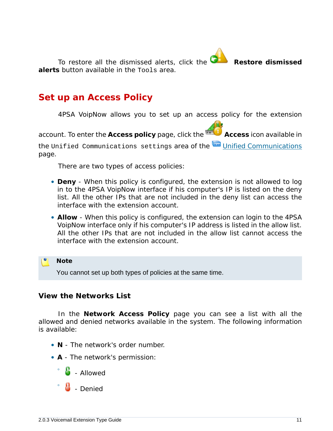To restore all the dismissed alerts, click the **Restore dismissed alerts** button available in the Tools area.

### <span id="page-10-0"></span>**Set up an Access Policy**

4PSA VoipNow allows you to set up an access policy for the extension

account. To enter the Access policy page, click the **Access** icon available in

the Unified Communications settings area of the Unified Communications page.

There are two types of access policies:

- **Deny** When this policy is configured, the extension is not allowed to log in to the 4PSA VoipNow interface if his computer's IP is listed on the deny list. All the other IPs that are not included in the deny list *can* access the interface with the extension account.
- **Allow** When this policy is configured, the extension can login to the 4PSA VoipNow interface only if his computer's IP address is listed in the allow list. All the other IPs that are not included in the allow list *cannot* access the interface with the extension account.

**Note** You cannot set up both types of policies at the same time.

<span id="page-10-1"></span>**View the Networks List**

In the **Network Access Policy** page you can see a list with all the allowed and denied networks available in the system. The following information is available:

- **N** The network's order number.
- **A** The network's permission:
	- $\frac{1}{2}$  Allowed
	- $\frac{1}{2}$  - Denied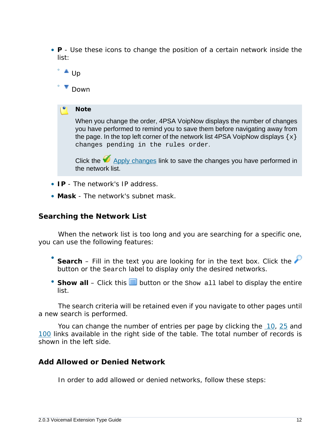- **P** Use these icons to change the position of a certain network inside the list:
	- ° ▲ Up

◦

**Down** 

**Note**

When you change the order, 4PSA VoipNow displays the number of changes you have performed to remind you to save them before navigating away from the page. In the top left corner of the network list 4PSA VoipNow displays  $\{x\}$ changes pending in the rules order.

Click the  $\blacktriangledown$  Apply changes link to save the changes you have performed in the network list.

- **IP** The network's IP address.
- **Mask** The network's subnet mask.

<span id="page-11-0"></span>**Searching the Network List**

When the network list is too long and you are searching for a specific one, you can use the following features:

- Search – Fill in the text you are looking for in the text box. Click the button or the Search label to display only the desired networks.
- Show all Click this  $\equiv$  button or the Show all label to display the entire list.

The search criteria will be retained even if you navigate to other pages until a new search is performed.

You can change the number of entries per page by clicking the 10, 25 and 100 links available in the right side of the table. The total number of records is shown in the left side.

<span id="page-11-1"></span>**Add Allowed or Denied Network**

In order to add allowed or denied networks, follow these steps: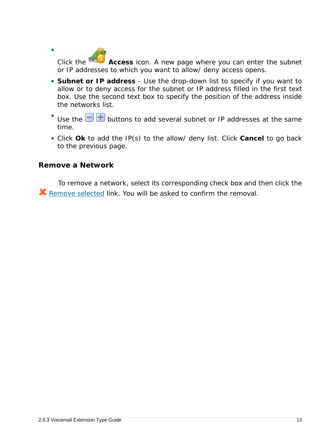Click the **Access** icon. A new page where you can enter the subnet or IP addresses to which you want to allow/ deny access opens.

- **Subnet or IP address** Use the drop-down list to specify if you want to allow or to deny access for the subnet or IP address filled in the first text box. Use the second text box to specify the position of the address inside the networks list.
- Use the  $\Box$  buttons to add several subnet or IP addresses at the same time.
- Click **Ok** to add the IP(s) to the allow/ deny list. Click **Cancel** to go back to the previous page.

<span id="page-12-0"></span>**Remove a Network**

•

To remove a network, select its corresponding check box and then click the **K** Remove selected link. You will be asked to confirm the removal.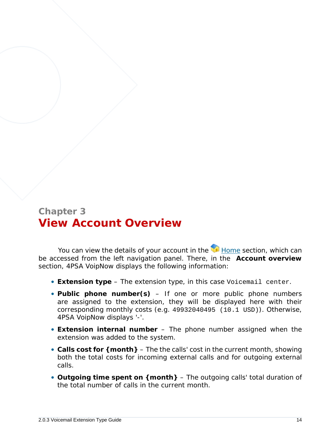### <span id="page-13-0"></span>**Chapter 3 View Account Overview**

You can view the details of your account in the  $\blacksquare$  Home section, which can be accessed from the left navigation panel. There, in the **Account overview** section, 4PSA VoipNow displays the following information:

- **Extension type** The extension type, in this case Voicemail center.
- **Public phone number(s)** If one or more public phone numbers are assigned to the extension, they will be displayed here with their corresponding monthly costs (e.g. 49932040495 (10.1 USD)). Otherwise, 4PSA VoipNow displays '-'.
- **Extension internal number** The phone number assigned when the extension was added to the system.
- **Calls cost for {month}** The the calls' cost in the current month, showing both the total costs for incoming external calls and for outgoing external calls.
- **Outgoing time spent on {month}** The outgoing calls' total duration of the total number of calls in the current month.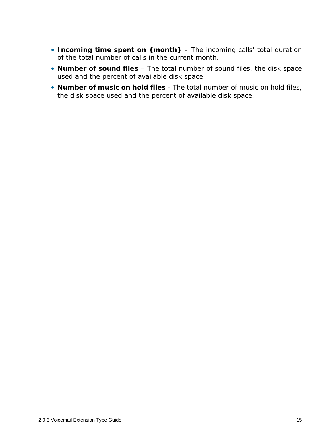- **Incoming time spent on {month}** The incoming calls' total duration of the total number of calls in the current month.
- **Number of sound files** The total number of sound files, the disk space used and the percent of available disk space.
- **Number of music on hold files** The total number of music on hold files, the disk space used and the percent of available disk space.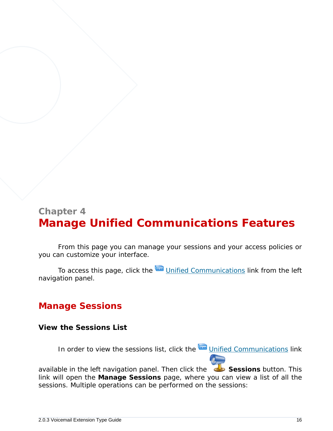### <span id="page-15-0"></span>**Chapter 4 Manage Unified Communications Features**

From this page you can manage your sessions and your access policies or you can customize your interface.

<span id="page-15-1"></span>To access this page, click the Unified Communications link from the left navigation panel.

### <span id="page-15-2"></span>**Manage Sessions**

**View the Sessions List**

In order to view the sessions list, click the Unified Communications link

available in the left navigation panel. Then click the **Sessions button. This** link will open the **Manage Sessions** page, where you can view a list of all the sessions. Multiple operations can be performed on the sessions: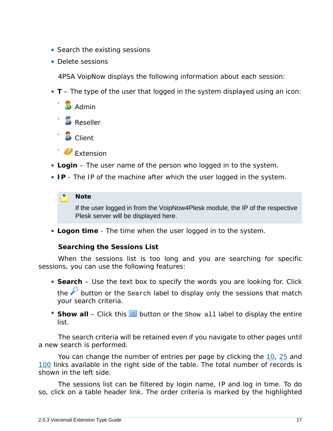- Search the existing sessions
- Delete sessions

4PSA VoipNow displays the following information about each session:

- **T** The type of the user that logged in the system displayed using an icon:
	- **Admin** ◦ **Reseller**
	- **D** Client
	- Extension
- **Login** The user name of the person who logged in to the system.
- **IP** The IP of the machine after which the user logged in the system.

#### **Note**

If the user logged in from the VoipNow4Plesk module, the IP of the respective Plesk server will be displayed here.

• **Logon time** - The time when the user logged in to the system.

**Searching the Sessions List**

When the sessions list is too long and you are searching for specific sessions, you can use the following features:

- **Search** Use the text box to specify the words you are looking for. Click the  $\mathcal P$  button or the Search label to display only the sessions that match your search criteria.
- Show all Click this  $\equiv$  button or the Show all label to display the entire list.

The search criteria will be retained even if you navigate to other pages until a new search is performed.

You can change the number of entries per page by clicking the 10, 25 and 100 links available in the right side of the table. The total number of records is shown in the left side.

The sessions list can be filtered by login name, IP and log in time. To do so, click on a table header link. The order criteria is marked by the highlighted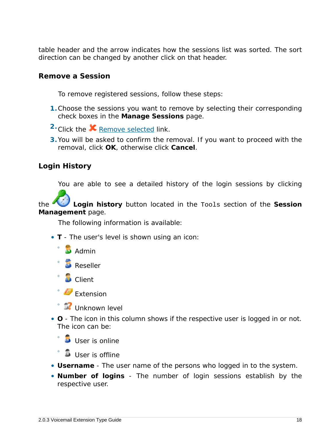table header and the arrow indicates how the sessions list was sorted. The sort direction can be changed by another click on that header.

<span id="page-17-0"></span>**Remove a Session**

To remove registered sessions, follow these steps:

- **1.**Choose the sessions you want to remove by selecting their corresponding check boxes in the **Manage Sessions** page.
- <sup>2</sup> Click the **X** Remove selected link.
- **3.**You will be asked to confirm the removal. If you want to proceed with the removal, click **OK**, otherwise click **Cancel**.

<span id="page-17-1"></span>**Login History**

You are able to see a detailed history of the login sessions by clicking

the **Login history** button located in the Tools section of the **Session Management** page.

The following information is available:

- **T** The user's level is shown using an icon:
	- $\Box$  Admin
	- **Reseller**
	- **D** Client

◦

- Extension
- Unknown level
- **O** The icon in this column shows if the respective user is logged in or not. The icon can be:

 $\bullet$ **User is online** 

- **User is offline**
- **Username** The user name of the persons who logged in to the system.
- **Number of logins** The number of login sessions establish by the respective user.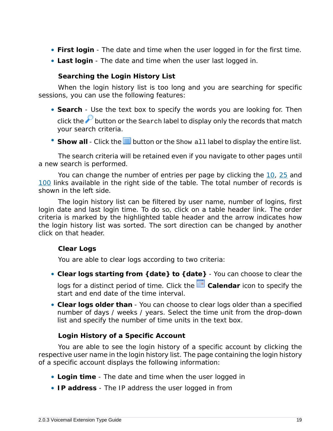- **First login** The date and time when the user logged in for the first time.
- **Last login** The date and time when the user last logged in.

**Searching the Login History List**

When the login history list is too long and you are searching for specific sessions, you can use the following features:

- **Search** Use the text box to specify the words you are looking for. Then click the  $\mathcal P$  button or the Search label to display only the records that match your search criteria.
- Show all Click the  $\equiv$  button or the Show all label to display the entire list.

The search criteria will be retained even if you navigate to other pages until a new search is performed.

You can change the number of entries per page by clicking the 10, 25 and 100 links available in the right side of the table. The total number of records is shown in the left side.

The login history list can be filtered by user name, number of logins, first login date and last login time. To do so, click on a table header link. The order criteria is marked by the highlighted table header and the arrow indicates how the login history list was sorted. The sort direction can be changed by another click on that header.

<span id="page-18-0"></span>**Clear Logs**

You are able to clear logs according to two criteria:

• **Clear logs starting from {date} to {date}** - You can choose to clear the

logs for a distinct period of time. Click the **EX** Calendar icon to specify the start and end date of the time interval.

• **Clear logs older than** - You can choose to clear logs older than a specified number of days / weeks / years. Select the time unit from the drop-down list and specify the number of time units in the text box.

**Login History of a Specific Account**

You are able to see the login history of a specific account by clicking the respective user name in the login history list. The page containing the login history of a specific account displays the following information:

- **Login time** The date and time when the user logged in
- **IP address** The IP address the user logged in from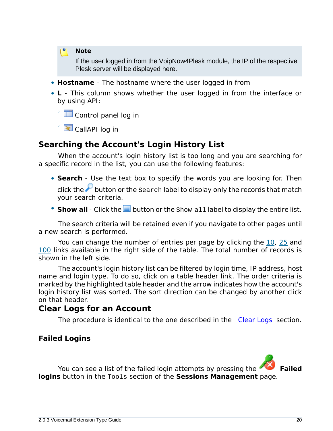**Note**

If the user logged in from the VoipNow4Plesk module, the IP of the respective Plesk server will be displayed here.

- **Hostname** The hostname where the user logged in from
- **L** This column shows whether the user logged in from the interface or by using API:

◦ Control panel log in

° E CallAPI log in

### **Searching the Account's Login History List**

When the account's login history list is too long and you are searching for a specific record in the list, you can use the following features:

- **Search** Use the text box to specify the words you are looking for. Then click the  $\mathcal P$  button or the Search label to display only the records that match your search criteria.
- Show all Click the  $\equiv$  button or the show all label to display the entire list.

The search criteria will be retained even if you navigate to other pages until a new search is performed.

You can change the number of entries per page by clicking the 10, 25 and 100 links available in the right side of the table. The total number of records is shown in the left side.

The account's login history list can be filtered by login time, IP address, host name and login type. To do so, click on a table header link. The order criteria is marked by the highlighted table header and the arrow indicates how the account's login history list was sorted. The sort direction can be changed by another click on that header.

#### **Clear Logs for an Account**

The procedure is identical to the one described in the [Clear Logs](#page-18-0) section.

<span id="page-19-0"></span>**Failed Logins**

You can see a list of the failed login attempts by pressing the **Failed logins** button in the Tools section of the **Sessions Management** page.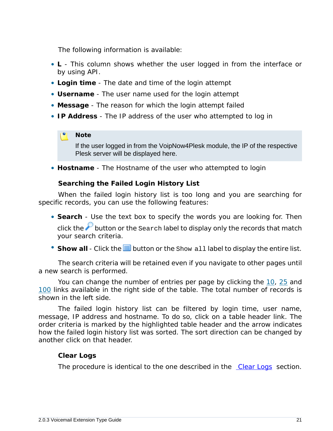The following information is available:

- **L** This column shows whether the user logged in from the interface or by using API.
- **Login time** The date and time of the login attempt
- **Username** The user name used for the login attempt
- **Message** The reason for which the login attempt failed
- **IP Address** The IP address of the user who attempted to log in

#### **Note**

If the user logged in from the VoipNow4Plesk module, the IP of the respective Plesk server will be displayed here.

• **Hostname** - The Hostname of the user who attempted to login

**Searching the Failed Login History List**

When the failed login history list is too long and you are searching for specific records, you can use the following features:

- **Search** Use the text box to specify the words you are looking for. Then click the  $\mathcal P$  button or the Search label to display only the records that match your search criteria.
- Show all Click the  $\equiv$  button or the show all label to display the entire list.

The search criteria will be retained even if you navigate to other pages until a new search is performed.

You can change the number of entries per page by clicking the 10, 25 and 100 links available in the right side of the table. The total number of records is shown in the left side.

The failed login history list can be filtered by login time, user name, message, IP address and hostname. To do so, click on a table header link. The order criteria is marked by the highlighted table header and the arrow indicates how the failed login history list was sorted. The sort direction can be changed by another click on that header.

#### **Clear Logs**

The procedure is identical to the one described in the [Clear Logs](#page-18-0) section.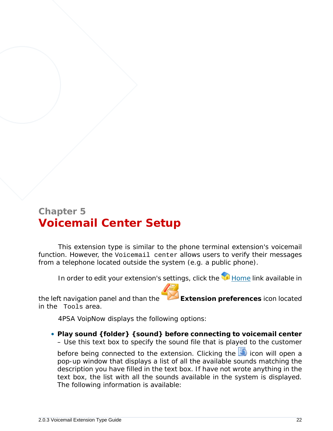### <span id="page-21-0"></span>**Chapter 5 Voicemail Center Setup**

This extension type is similar to the phone terminal extension's voicemail function. However, the Voicemail center allows users to verify their messages from a telephone located outside the system (e.g. a public phone).

In order to edit your extension's settings, click the Home link available in

the left navigation panel and than the **Extension preferences** icon located in the Tools area.

4PSA VoipNow displays the following options:

• **Play sound {folder} {sound} before connecting to voicemail center** – Use this text box to specify the sound file that is played to the customer

before being connected to the extension. Clicking the  $\Box$  icon will open a pop-up window that displays a list of all the available sounds matching the description you have filled in the text box. If have not wrote anything in the text box, the list with all the sounds available in the system is displayed. The following information is available: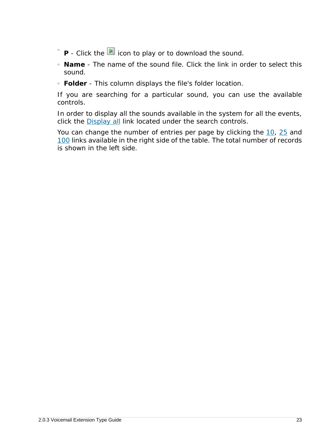- **P** - Click the **i**con to play or to download the sound.
- **Name** The name of the sound file. Click the link in order to select this sound.
- **Folder** This column displays the file's folder location.

If you are searching for a particular sound, you can use the available controls.

In order to display all the sounds available in the system for all the events, click the Display all link located under the search controls.

You can change the number of entries per page by clicking the 10, 25 and 100 links available in the right side of the table. The total number of records is shown in the left side.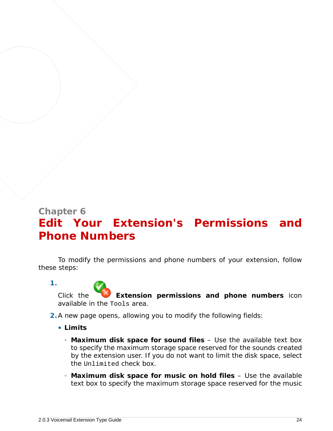## <span id="page-23-0"></span>**Chapter 6 Edit Your Extension's Permissions and Phone Numbers**

To modify the permissions and phone numbers of your extension, follow these steps:

**1.** Click the **Extension permissions and phone numbers** icon

available in the Tools area.

- **2.**A new page opens, allowing you to modify the following fields:
	- **Limits**
		- **Maximum disk space for sound files** Use the available text box to specify the maximum storage space reserved for the sounds created by the extension user. If you do not want to limit the disk space, select the Unlimited check box.
		- **Maximum disk space for music on hold files** Use the available text box to specify the maximum storage space reserved for the music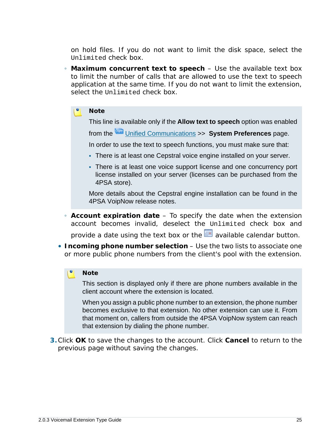on hold files. If you do not want to limit the disk space, select the Unlimited check box.

◦ **Maximum concurrent text to speech** – Use the available text box to limit the number of calls that are allowed to use the text to speech application at the same time. If you do not want to limit the extension, select the Unlimited check box.

#### **Note**

This line is available only if the **Allow text to speech** option was enabled

from the Unified Communications >> **System Preferences** page.

In order to use the text to speech functions, you must make sure that:

- There is at least one Cepstral voice engine installed on your server.
- There is at least one voice support license and one concurrency port license installed on your server (licenses can be purchased from the 4PSA store).

More details about the Cepstral engine installation can be found in the 4PSA VoipNow release notes.

◦ **Account expiration date** – To specify the date when the extension account becomes invalid, deselect the Unlimited check box and

provide a date using the text box or the **a** available calendar button.

• **Incoming phone number selection** – Use the two lists to associate one or more public phone numbers from the client's pool with the extension.

#### **Note**

This section is displayed only if there are phone numbers available in the client account where the extension is located.

When you assign a public phone number to an extension, the phone number becomes exclusive to that extension. No other extension can use it. From that moment on, callers from outside the 4PSA VoipNow system can reach that extension by dialing the phone number.

**3.**Click **OK** to save the changes to the account. Click **Cancel** to return to the previous page without saving the changes.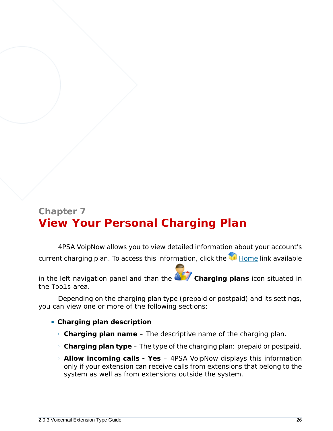## <span id="page-25-0"></span>**Chapter 7 View Your Personal Charging Plan**

4PSA VoipNow allows you to view detailed information about your account's current charging plan. To access this information, click the Home link available

in the left navigation panel and than the **Charging plans** icon situated in the Tools area.

Depending on the charging plan type (prepaid or postpaid) and its settings, you can view one or more of the following sections:

- **Charging plan description**
	- **Charging plan name** The descriptive name of the charging plan.
	- **Charging plan type** The type of the charging plan: prepaid or postpaid.
	- **Allow incoming calls Yes** 4PSA VoipNow displays this information only if your extension can receive calls from extensions that belong to the system as well as from extensions outside the system.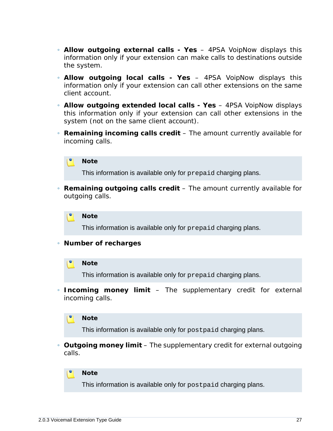- **Allow outgoing external calls Yes** 4PSA VoipNow displays this information only if your extension can make calls to destinations outside the system.
- **Allow outgoing local calls Yes** 4PSA VoipNow displays this information only if your extension can call other extensions on the same client account.
- **Allow outgoing extended local calls Yes** 4PSA VoipNow displays this information only if your extension can call other extensions in the system (not on the same client account).
- **Remaining incoming calls credit** The amount currently available for incoming calls.



This information is available only for prepaid charging plans.

◦ **Remaining outgoing calls credit** – The amount currently available for outgoing calls.



This information is available only for prepaid charging plans.

◦ **Number of recharges**

#### **Note**

This information is available only for prepaid charging plans.

◦ **Incoming money limit** – The supplementary credit for external incoming calls.



This information is available only for postpaid charging plans.

◦ **Outgoing money limit** – The supplementary credit for external outgoing calls.



This information is available only for postpaid charging plans.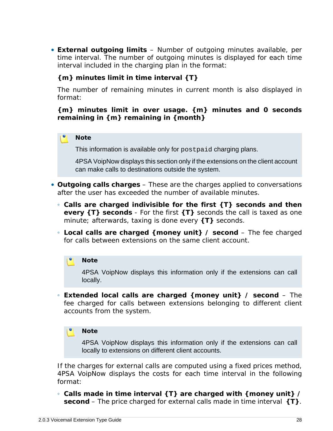• **External outgoing limits** – Number of outgoing minutes available, per time interval. The number of outgoing minutes is displayed for each time interval included in the charging plan in the format:

**{m} minutes limit in time interval {T}**

The number of remaining minutes in current month is also displayed in format:

**{m} minutes limit in over usage. {m} minutes and 0 seconds remaining in {m} remaining in {month}**

#### **Note**

This information is available only for postpaid charging plans.

4PSA VoipNow displays this section only if the extensions on the client account can make calls to destinations outside the system.

- **Outgoing calls charges** These are the charges applied to conversations after the user has exceeded the number of available minutes.
	- **Calls are charged indivisible for the first {T} seconds and then every {T} seconds** - For the first **{T}** seconds the call is taxed as one minute; afterwards, taxing is done every **{T}** seconds.
	- **Local calls are charged {money unit} / second** The fee charged for calls between extensions on the same client account.

#### $\bullet$ **Note**

4PSA VoipNow displays this information only if the extensions can call locally.

◦ **Extended local calls are charged {money unit} / second** – The fee charged for calls between extensions belonging to different client accounts from the system.

#### **Note**

4PSA VoipNow displays this information only if the extensions can call locally to extensions on different client accounts.

If the charges for external calls are computed using a fixed prices method, 4PSA VoipNow displays the costs for each time interval in the following format:

◦ **Calls made in time interval {T} are charged with {money unit} / second** – The price charged for external calls made in time interval **{T}**.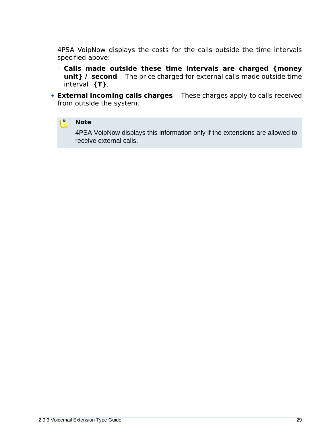4PSA VoipNow displays the costs for the calls outside the time intervals specified above:

- **Calls made outside these time intervals are charged {money unit} / second** – The price charged for external calls made outside time interval **{T}**.
- **External incoming calls charges** These charges apply to calls received from outside the system.

#### $\bullet$ **Note**

4PSA VoipNow displays this information only if the extensions are allowed to receive external calls.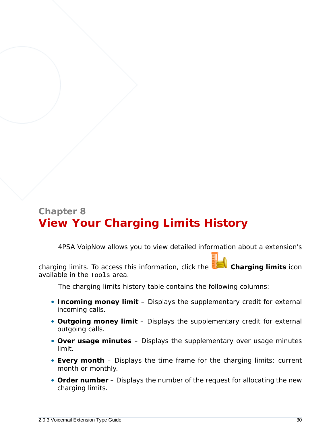### <span id="page-29-0"></span>**Chapter 8 View Your Charging Limits History**

4PSA VoipNow allows you to view detailed information about a extension's

charging limits. To access this information, click the **Charging limits** icon available in the Tools area.

The charging limits history table contains the following columns:

- **Incoming money limit** Displays the supplementary credit for external incoming calls.
- **Outgoing money limit** Displays the supplementary credit for external outgoing calls.
- **Over usage minutes** Displays the supplementary over usage minutes limit.
- **Every month** Displays the time frame for the charging limits: current month or monthly.
- **Order number** Displays the number of the request for allocating the new charging limits.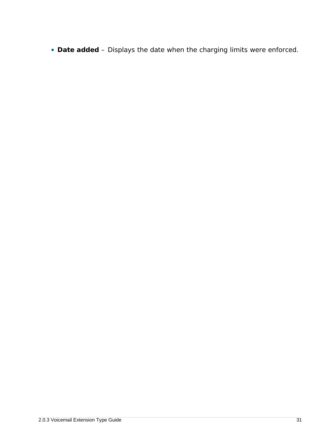• **Date added** – Displays the date when the charging limits were enforced.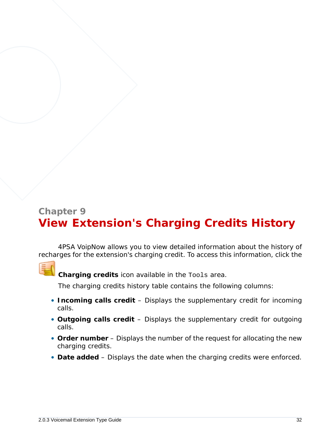## <span id="page-31-0"></span>**Chapter 9 View Extension's Charging Credits History**

4PSA VoipNow allows you to view detailed information about the history of recharges for the extension's charging credit. To access this information, click the



**Charging credits** icon available in the Tools area.

The charging credits history table contains the following columns:

- **Incoming calls credit** Displays the supplementary credit for incoming calls.
- **Outgoing calls credit** Displays the supplementary credit for outgoing calls.
- **Order number** Displays the number of the request for allocating the new charging credits.
- **Date added** Displays the date when the charging credits were enforced.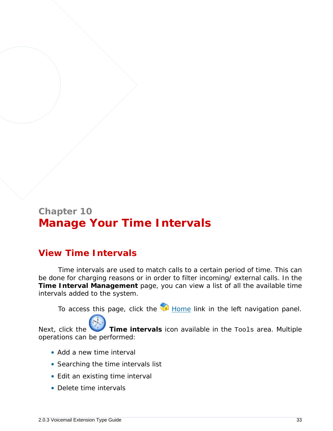### <span id="page-32-0"></span>**Chapter 10 Manage Your Time Intervals**

### <span id="page-32-1"></span>**View Time Intervals**

Time intervals are used to match calls to a certain period of time. This can be done for charging reasons or in order to filter incoming/ external calls. In the **Time Interval Management** page, you can view a list of all the available time intervals added to the system.

To access this page, click the Home link in the left navigation panel.

Next, click the **Time intervals** icon available in the Tools area. Multiple operations can be performed:

- Add a new time interval
- Searching the time intervals list
- Edit an existing time interval
- Delete time intervals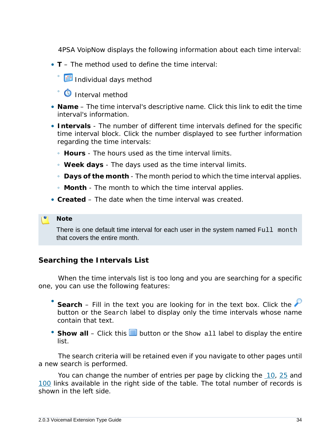4PSA VoipNow displays the following information about each time interval:

- **T** The method used to define the time interval:
	- ® <mark>⊞</mark> Individual days method
	- **O** Interval method
- **Name** The time interval's descriptive name. Click this link to edit the time interval's information.
- **Intervals** The number of different time intervals defined for the specific time interval block. Click the number displayed to see further information regarding the time intervals:
	- **Hours** The hours used as the time interval limits.
	- **Week days** The days used as the time interval limits.
	- **Days of the month** The month period to which the time interval applies.
	- **Month** The month to which the time interval applies.
- **Created** The date when the time interval was created.

#### **Note**

There is one default time interval for each user in the system named Full month that covers the entire month.

#### <span id="page-33-0"></span>**Searching the Intervals List**

When the time intervals list is too long and you are searching for a specific one, you can use the following features:

- Search – Fill in the text you are looking for in the text box. Click the button or the Search label to display only the time intervals whose name contain that text.
- Show all Click this  $\equiv$  button or the Show all label to display the entire list.

The search criteria will be retained even if you navigate to other pages until a new search is performed.

You can change the number of entries per page by clicking the 10, 25 and 100 links available in the right side of the table. The total number of records is shown in the left side.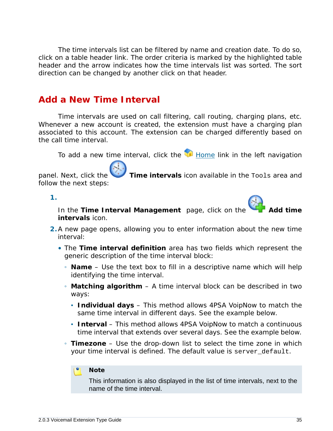The time intervals list can be filtered by name and creation date. To do so, click on a table header link. The order criteria is marked by the highlighted table header and the arrow indicates how the time intervals list was sorted. The sort direction can be changed by another click on that header.

### <span id="page-34-0"></span>**Add a New Time Interval**

Time intervals are used on call filtering, call routing, charging plans, etc. Whenever a new account is created, the extension must have a charging plan associated to this account. The extension can be charged differently based on the call time interval.

To add a new time interval, click the  $\blacksquare$  Home link in the left navigation

panel. Next, click the **Time intervals** icon available in the Tools area and follow the next steps:

**1.**



In the Time Interval Management page, click on the **intervals** icon.

- **2.**A new page opens, allowing you to enter information about the new time interval:
	- The **Time interval definition** area has two fields which represent the generic description of the time interval block:
		- **Name** Use the text box to fill in a descriptive name which will help identifying the time interval.
		- **Matching algorithm** A time interval block can be described in two ways:
			- **Individual days** This method allows 4PSA VoipNow to match the same time interval in different days. See the example below.
			- **Interval** This method allows 4PSA VoipNow to match a continuous time interval that extends over several days. See the example below.
		- **Timezone** Use the drop-down list to select the time zone in which your time interval is defined. The default value is server default.

#### **Note**

This information is also displayed in the list of time intervals, next to the name of the time interval.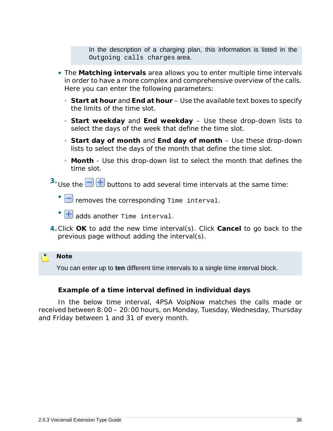In the description of a charging plan, this information is listed in the Outgoing calls charges area.

- The **Matching intervals** area allows you to enter multiple time intervals in order to have a more complex and comprehensive overview of the calls. Here you can enter the following parameters:
	- **Start at hour** and **End at hour** Use the available text boxes to specify the limits of the time slot.
	- **Start weekday** and **End weekday** Use these drop-down lists to select the days of the week that define the time slot.
	- **Start day of month** and **End day of month** Use these drop-down lists to select the days of the month that define the time slot.
	- **Month** Use this drop-down list to select the month that defines the time slot.
- $3.$  Use the  $\Box$  **b** buttons to add several time intervals at the same time:
	- $\Box$  removes the corresponding Time interval.
	- **+** adds another rime interval.
- **4.**Click **OK** to add the new time interval(s). Click **Cancel** to go back to the previous page without adding the interval(s).

**Note**

You can enter up to **ten** different time intervals to a single time interval block.

**Example of a time interval defined in individual days**

In the below time interval, 4PSA VoipNow matches the calls made or received between 8:00 – 20:00 hours, on Monday, Tuesday, Wednesday, Thursday and Friday between 1 and 31 of every month.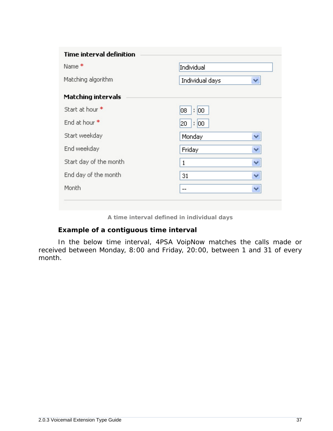| <b>Time interval definition</b> |                 |   |
|---------------------------------|-----------------|---|
| Name <sup>*</sup>               | Individual      |   |
| Matching algorithm              | Individual days | v |
| <b>Matching intervals</b>       |                 |   |
| Start at hour *                 | : 100<br>08     |   |
| End at hour *                   | : 100<br>20     |   |
| Start weekday                   | Monday          | v |
| End weekday                     | Friday          | ٧ |
| Start day of the month          | 1               | ٧ |
| End day of the month            | 31              | ٧ |
| Month                           | --              | ٧ |

**A time interval defined in individual days**

### **Example of a contiguous time interval**

In the below time interval, 4PSA VoipNow matches the calls made or received between Monday, 8:00 and Friday, 20:00, between 1 and 31 of every month.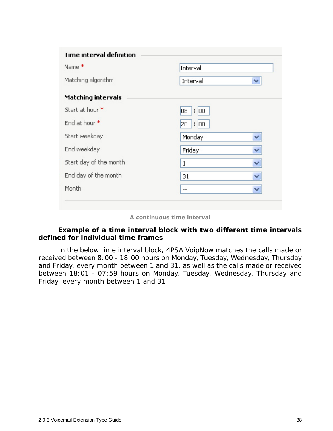| Name <sup>*</sup>         | Interval    |   |
|---------------------------|-------------|---|
| Matching algorithm        | Interval    | ٧ |
| <b>Matching intervals</b> |             |   |
| Start at hour *           | : 100<br>08 |   |
| End at hour *             | 00 <br>20   |   |
| Start weekday             | Monday      | v |
| End weekday               | Friday      | v |
| Start day of the month    | 1           | ٧ |
| End day of the month      | 31          | ٧ |
| Month                     | $-$         | ٧ |

**A continuous time interval**

**Example of a time interval block with two different time intervals defined for individual time frames**

In the below time interval block, 4PSA VoipNow matches the calls made or received between 8:00 - 18:00 hours on Monday, Tuesday, Wednesday, Thursday and Friday, every month between 1 and 31, as well as the calls made or received between 18:01 - 07:59 hours on Monday, Tuesday, Wednesday, Thursday and Friday, every month between 1 and 31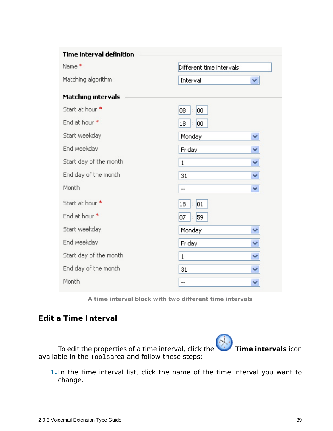| <b>Time interval definition</b> |                          |   |
|---------------------------------|--------------------------|---|
| Name <sup>*</sup>               | Different time intervals |   |
| Matching algorithm              | Interval                 | ٧ |
| <b>Matching intervals</b>       |                          |   |
| Start at hour *                 | 08<br>: 00               |   |
| End at hour *                   | : 00<br>18               |   |
| Start weekday                   | Monday                   | × |
| End weekday                     | Friday                   | v |
| Start day of the month          | 1                        | v |
| End day of the month            | 31                       | v |
| Month                           | $-$                      | v |
| Start at hour *                 | : 01<br>18               |   |
| End at hour *                   | 07<br>: 59               |   |
| Start weekday                   | Monday                   | × |
| End weekday                     | Friday                   | ٧ |
| Start day of the month          | $\mathbf{1}$             | v |
| End day of the month            | 31                       | v |
| Month                           | $\overline{\phantom{a}}$ | ٧ |

**A time interval block with two different time intervals**

### **Edit a Time Interval**

To edit the properties of a time interval, click the **Time intervals** icon available in the Toolsarea and follow these steps:

**1.** In the time interval list, click the name of the time interval you want to change.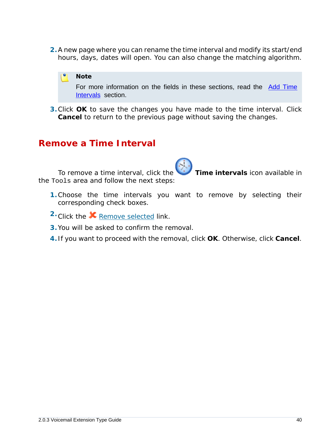**2.**A new page where you can rename the time interval and modify its start/end hours, days, dates will open. You can also change the matching algorithm.



**3.**Click **OK** to save the changes you have made to the time interval. Click **Cancel** to return to the previous page without saving the changes.

### **Remove a Time Interval**

To remove a time interval, click the **Time intervals** icon available in the Tools area and follow the next steps:

- **1.**Choose the time intervals you want to remove by selecting their corresponding check boxes.
- 2. Click the **X** Remove selected link.
- **3.**You will be asked to confirm the removal.
- **4.** If you want to proceed with the removal, click **OK**. Otherwise, click **Cancel**.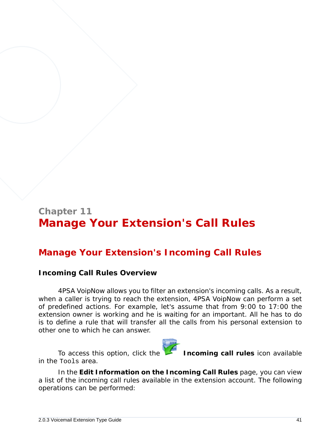# **Chapter 11 Manage Your Extension's Call Rules**

# **Manage Your Extension's Incoming Call Rules**

### **Incoming Call Rules Overview**

4PSA VoipNow allows you to filter an extension's incoming calls. As a result, when a caller is trying to reach the extension, 4PSA VoipNow can perform a set of predefined actions. For example, let's assume that from 9:00 to 17:00 the extension owner is working and he is waiting for an important. All he has to do is to define a rule that will transfer all the calls from his personal extension to other one to which he can answer.



To access this option, click the **Incoming call rules** icon available

In the **Edit Information on the Incoming Call Rules** page, you can view a list of the incoming call rules available in the extension account. The following operations can be performed:

in the Tools area.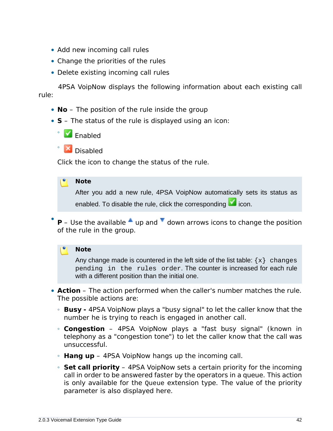- Add new incoming call rules
- Change the priorities of the rules
- Delete existing incoming call rules

4PSA VoipNow displays the following information about each existing call rule:

- **No** The position of the rule inside the group
- **S** The status of the rule is displayed using an icon:



**X** Disabled

◦

Click the icon to change the status of the rule.

#### **Note**

After you add a new rule, 4PSA VoipNow automatically sets its status as enabled. To disable the rule, click the corresponding  $\blacksquare$  icon.

• **P** – Use the available  $\triangleq$  up and  $\triangleq$  down arrows icons to change the position of the rule in the group.

### **Note**

Any change made is countered in the left side of the list table:  $\{x\}$  changes pending in the rules order. The counter is increased for each rule with a different position than the initial one.

- **Action** The action performed when the caller's number matches the rule. The possible actions are:
	- **Busy** 4PSA VoipNow plays a "busy signal" to let the caller know that the number he is trying to reach is engaged in another call.
	- **Congestion** 4PSA VoipNow plays a "fast busy signal" (known in telephony as a "congestion tone") to let the caller know that the call was unsuccessful.
	- **Hang up** 4PSA VoipNow hangs up the incoming call.
	- **Set call priority** 4PSA VoipNow sets a certain priority for the incoming call in order to be answered faster by the operators in a queue. This action is only available for the Queue extension type. The value of the priority parameter is also displayed here.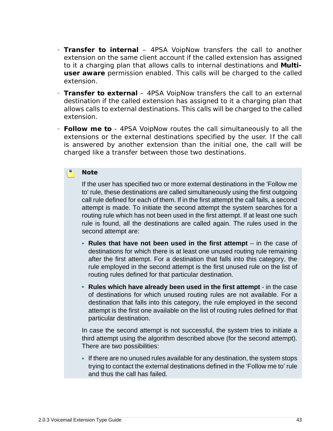- **Transfer to internal** 4PSA VoipNow transfers the call to another extension on the same client account if the called extension has assigned to it a charging plan that allows calls to internal destinations and **Multiuser aware** permission enabled. This calls will be charged to the called extension.
- **Transfer to external** 4PSA VoipNow transfers the call to an external destination if the called extension has assigned to it a charging plan that allows calls to external destinations. This calls will be charged to the called extension.
- **Follow me to** 4PSA VoipNow routes the call simultaneously to all the extensions or the external destinations specified by the user. If the call is answered by another extension than the initial one, the call will be charged like a transfer between those two destinations.

#### **Note**

If the user has specified two or more external destinations in the 'Follow me to' rule, these destinations are called simultaneously using the first outgoing call rule defined for each of them. If in the first attempt the call fails, a second attempt is made. To initiate the second attempt the system searches for a routing rule which has not been used in the first attempt. If at least one such rule is found, all the destinations are called again. The rules used in the second attempt are:

- **Rules that have not been used in the first attempt** in the case of destinations for which there is at least one unused routing rule remaining after the first attempt. For a destination that falls into this category, the rule employed in the second attempt is the first unused rule on the list of routing rules defined for that particular destination.
- **Rules which have already been used in the first attempt** in the case of destinations for which unused routing rules are not available. For a destination that falls into this category, the rule employed in the second attempt is the first one available on the list of routing rules defined for that particular destination.

In case the second attempt is not successful, the system tries to initiate a third attempt using the algorithm described above (for the second attempt). There are two possibilities:

▪ If there are no unused rules available for any destination, the system stops trying to contact the external destinations defined in the 'Follow me to' rule and thus the call has failed.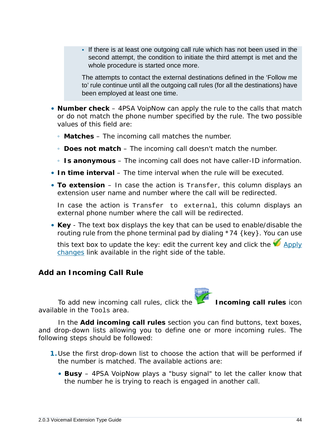▪ If there is at least one outgoing call rule which has not been used in the second attempt, the condition to initiate the third attempt is met and the whole procedure is started once more.

The attempts to contact the external destinations defined in the 'Follow me to' rule continue until all the outgoing call rules (for all the destinations) have been employed at least one time.

- **Number check** 4PSA VoipNow can apply the rule to the calls that match or do not match the phone number specified by the rule. The two possible values of this field are:
	- **Matches** The incoming call matches the number.
	- **Does not match** The incoming call doesn't match the number.
	- **Is anonymous** The incoming call does not have caller-ID information.
- **In time interval** The time interval when the rule will be executed.
- **To extension** In case the action is Transfer, this column displays an extension user name and number where the call will be redirected.

In case the action is Transfer to external, this column displays an external phone number where the call will be redirected.

• **Key** - The text box displays the key that can be used to enable/disable the routing rule from the phone terminal pad by dialing \*74 {key}. You can use

this text box to update the key: edit the current key and click the  $\bigotimes_{\text{Apply}}$ changes link available in the right side of the table.

**Add an Incoming Call Rule**

To add new incoming call rules, click the **Incoming call rules** icon available in the Tools area.

In the **Add incoming call rules** section you can find buttons, text boxes, and drop-down lists allowing you to define one or more incoming rules. The following steps should be followed:

- **1.**Use the first drop-down list to choose the action that will be performed if the number is matched. The available actions are:
	- **Busy** 4PSA VoipNow plays a "busy signal" to let the caller know that the number he is trying to reach is engaged in another call.

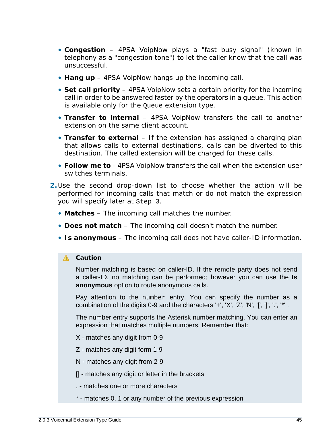- **Congestion** 4PSA VoipNow plays a "fast busy signal" (known in telephony as a "congestion tone") to let the caller know that the call was unsuccessful.
- **Hang up** 4PSA VoipNow hangs up the incoming call.
- **Set call priority** 4PSA VoipNow sets a certain priority for the incoming call in order to be answered faster by the operators in a queue. This action is available only for the Queue extension type.
- **Transfer to internal** 4PSA VoipNow transfers the call to another extension on the same client account.
- **Transfer to external** If the extension has assigned a charging plan that allows calls to external destinations, calls can be diverted to this destination. The called extension will be charged for these calls.
- **Follow me to** 4PSA VoipNow transfers the call when the extension user switches terminals.
- **2.**Use the second drop-down list to choose whether the action will be performed for incoming calls that match or do not match the expression you will specify later at Step 3.
	- **Matches** The incoming call matches the number.
	- **Does not match** The incoming call doesn't match the number.
	- **Is anonymous** The incoming call does not have caller-ID information.

### **A** Caution

Number matching is based on caller-ID. If the remote party does not send a caller-ID, no matching can be performed; however you can use the **Is anonymous** option to route anonymous calls.

Pay attention to the number entry. You can specify the number as a combination of the digits 0-9 and the characters '+', 'X', 'Z', 'N', '[', ']', '.', '\*' .

The number entry supports the Asterisk number matching. You can enter an expression that matches multiple numbers. Remember that:

- X matches any digit from 0-9
- Z matches any digit form 1-9
- N matches any digit from 2-9
- [] matches any digit or letter in the brackets
- . matches one or more characters
- \* matches 0, 1 or any number of the previous expression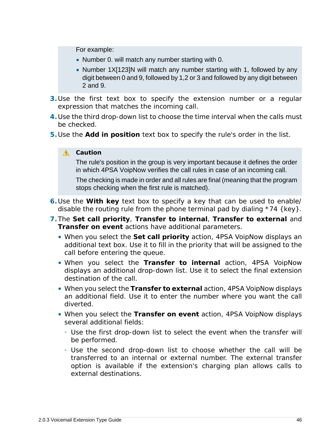For example:

- Number 0. will match any number starting with 0.
- Number 1X[123]N will match any number starting with 1, followed by any digit between 0 and 9, followed by 1,2 or 3 and followed by any digit between 2 and 9.
- **3.**Use the first text box to specify the extension number or a regular expression that matches the incoming call.
- **4.**Use the third drop-down list to choose the time interval when the calls must be checked.
- **5.**Use the **Add in position** text box to specify the rule's order in the list.

### **A** Caution

The rule's position in the group is very important because it defines the order in which 4PSA VoipNow verifies the call rules in case of an incoming call.

The checking is made in order and all rules are final (meaning that the program stops checking when the first rule is matched).

- **6.**Use the **With key** text box to specify a key that can be used to enable/ disable the routing rule from the phone terminal pad by dialing \*74 {key}.
- **7.**The **Set call priority**, **Transfer to internal**, **Transfer to external** and **Transfer on event** actions have additional parameters.
	- When you select the **Set call priority** action, 4PSA VoipNow displays an additional text box. Use it to fill in the priority that will be assigned to the call before entering the queue.
	- When you select the **Transfer to internal** action, 4PSA VoipNow displays an additional drop-down list. Use it to select the final extension destination of the call.
	- When you select the **Transfer to external** action, 4PSA VoipNow displays an additional field. Use it to enter the number where you want the call diverted.
	- When you select the **Transfer on event** action, 4PSA VoipNow displays several additional fields:
		- Use the first drop-down list to select the event when the transfer will be performed.
		- Use the second drop-down list to choose whether the call will be transferred to an internal or external number. The external transfer option is available if the extension's charging plan allows calls to external destinations.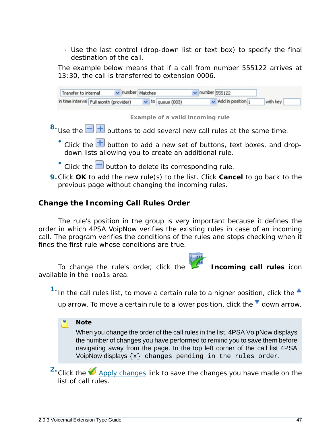◦ Use the last control (drop-down list or text box) to specify the final destination of the call.

The example below means that if a call from number 555122 arrives at 13:30, the call is transferred to extension 0006.

| v number Matches<br>Transfer to internal |                       | $\vee$ number 555122     |          |
|------------------------------------------|-----------------------|--------------------------|----------|
| in time interval Full month (provider)   | $\vee$ to queue (003) | $\vee$ Add in position 1 | with key |

**Example of a valid incoming rule**

- $8.8$  Use the  $\Box$  buttons to add several new call rules at the same time:
	- $\bullet$  Click the  $\overline{\pm}$  button to add a new set of buttons, text boxes, and dropdown lists allowing you to create an additional rule.
	- $\bullet$  Click the  $\Box$  button to delete its corresponding rule.
- **9.**Click **OK** to add the new rule(s) to the list. Click **Cancel** to go back to the previous page without changing the incoming rules.

**Change the Incoming Call Rules Order**

The rule's position in the group is very important because it defines the order in which 4PSA VoipNow verifies the existing rules in case of an incoming call. The program verifies the conditions of the rules and stops checking when it finds the first rule whose conditions are true.

To change the rule's order, click the **Incoming call rules** icon available in the Tools area.

<sup>1.</sup> In the call rules list, to move a certain rule to a higher position, click the  $\triangle$ 

up arrow. To move a certain rule to a lower position, click the  $\blacksquare$  down arrow.

**Note**

When you change the order of the call rules in the list, 4PSA VoipNow displays the number of changes you have performed to remind you to save them before navigating away from the page. In the top left corner of the call list 4PSA VoipNow displays  $\{x\}$  changes pending in the rules order.

<sup>2</sup>. Click the **Apply changes link to save the changes you have made on the** list of call rules.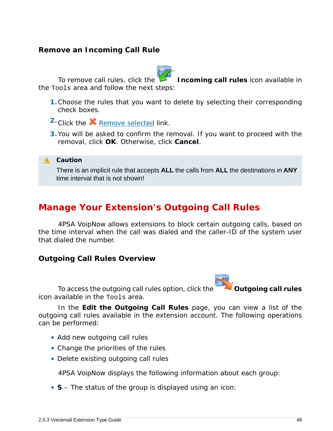### **Remove an Incoming Call Rule**



To remove call rules, click the **Incoming call rules** icon available in the Tools area and follow the next steps:

- **1.**Choose the rules that you want to delete by selecting their corresponding check boxes.
- 2. Click the **X** Remove selected link.
- **3.**You will be asked to confirm the removal. If you want to proceed with the removal, click **OK**. Otherwise, click **Cancel**.

**A** Caution

There is an implicit rule that accepts **ALL** the calls from **ALL** the destinations in **ANY** time interval that is not shown!

# **Manage Your Extension's Outgoing Call Rules**

4PSA VoipNow allows extensions to block certain outgoing calls, based on the time interval when the call was dialed and the caller-ID of the system user that dialed the number.

**Outgoing Call Rules Overview**



To access the outgoing call rules option, click the **Outgoing call rules** 

icon available in the Tools area.

In the **Edit the Outgoing Call Rules** page, you can view a list of the outgoing call rules available in the extension account. The following operations can be performed:

- Add new outgoing call rules
- Change the priorities of the rules
- Delete existing outgoing call rules

4PSA VoipNow displays the following information about each group:

• **S** – The status of the group is displayed using an icon: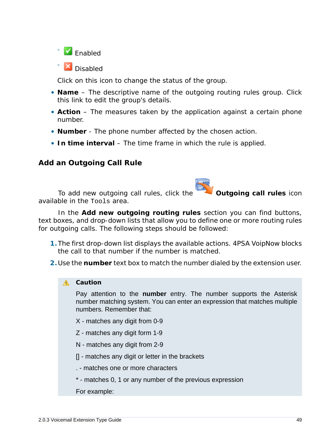

◦ **X** Disabled

Click on this icon to change the status of the group.

- **Name** The descriptive name of the outgoing routing rules group. Click this link to edit the group's details.
- **Action** The measures taken by the application against a certain phone number.
- **Number** The phone number affected by the chosen action.
- **In time interval** The time frame in which the rule is applied.

### **Add an Outgoing Call Rule**

To add new outgoing call rules, click the **Outgoing call rules** icon available in the Tools area.

In the **Add new outgoing routing rules** section you can find buttons, text boxes, and drop-down lists that allow you to define one or more routing rules for outgoing calls. The following steps should be followed:

- **1.**The first drop-down list displays the available actions. 4PSA VoipNow blocks the call to that number if the number is matched.
- **2.**Use the **number** text box to match the number dialed by the extension user.

### **A** Caution

Pay attention to the **number** entry. The number supports the Asterisk number matching system. You can enter an expression that matches multiple numbers. Remember that:

- X matches any digit from 0-9
- Z matches any digit form 1-9
- N matches any digit from 2-9
- [] matches any digit or letter in the brackets
- . matches one or more characters
- \* matches 0, 1 or any number of the previous expression
- For example: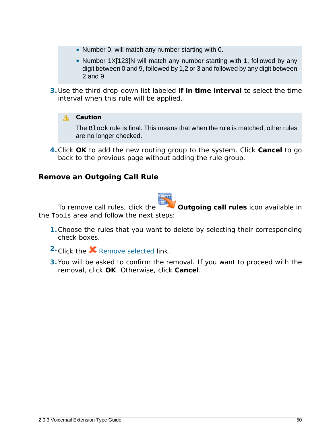- Number 0. will match any number starting with 0.
- Number 1X[123]N will match any number starting with 1, followed by any digit between 0 and 9, followed by 1,2 or 3 and followed by any digit between 2 and 9.
- **3.**Use the third drop-down list labeled **if in time interval** to select the time interval when this rule will be applied.

### **A** Caution

The Block rule is final. This means that when the rule is matched, other rules are no longer checked.

**4.**Click **OK** to add the new routing group to the system. Click **Cancel** to go back to the previous page without adding the rule group.

**Remove an Outgoing Call Rule**



To remove call rules, click the **Outgoing call rules** icon available in the Tools area and follow the next steps:

- **1.**Choose the rules that you want to delete by selecting their corresponding check boxes.
- 2. Click the **X** Remove selected link.
- **3.**You will be asked to confirm the removal. If you want to proceed with the removal, click **OK**. Otherwise, click **Cancel**.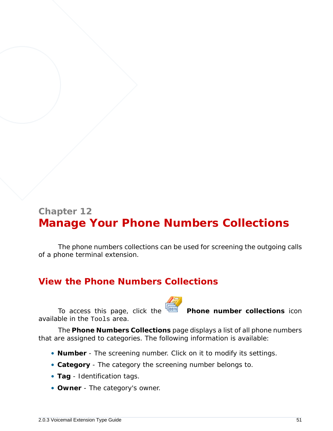# **Chapter 12 Manage Your Phone Numbers Collections**

The phone numbers collections can be used for screening the outgoing calls of a phone terminal extension.

# **View the Phone Numbers Collections**

To access this page, click the **Phone number collections** icon available in the Tools area.

The **Phone Numbers Collections** page displays a list of all phone numbers that are assigned to categories. The following information is available:

- **Number** The screening number. Click on it to modify its settings.
- **Category** The category the screening number belongs to.
- **Tag** Identification tags.
- **Owner** The category's owner.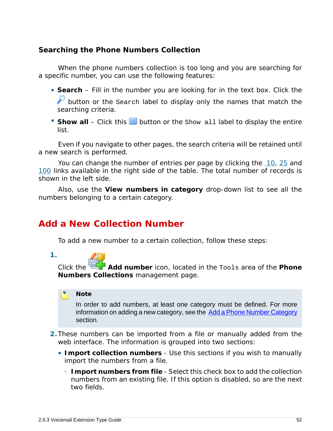**Searching the Phone Numbers Collection**

When the phone numbers collection is too long and you are searching for a specific number, you can use the following features:

- **Search** Fill in the number you are looking for in the text box. Click the button or the search label to display only the names that match the searching criteria.
- Show all Click this  $\equiv$  button or the Show all label to display the entire list.

Even if you navigate to other pages, the search criteria will be retained until a new search is performed.

You can change the number of entries per page by clicking the 10, 25 and 100 links available in the right side of the table. The total number of records is shown in the left side.

<span id="page-51-0"></span>Also, use the **View numbers in category** drop-down list to see all the numbers belonging to a certain category.

### **Add a New Collection Number**

To add a new number to a certain collection, follow these steps:

**1.**

Click the **Add number** icon, located in the Tools area of the **Phone Numbers Collections** management page.

#### r. **Note**

In order to add numbers, at least one category must be defined. For more information on adding a new category, see the [Add a Phone Number Category](#page-54-0) section.

- **2.**These numbers can be imported from a file or manually added from the web interface. The information is grouped into two sections:
	- **Import collection numbers** Use this sections if you wish to manually import the numbers from a file.
		- **Import numbers from file** Select this check box to add the collection numbers from an existing file. If this option is disabled, so are the next two fields.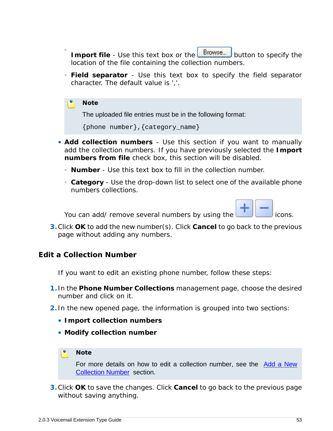- Import file Use this text box or the **Browse**... button to specify the location of the file containing the collection numbers.
- **Field separator** Use this text box to specify the field separator character. The default value is ','.

### **Note**

 $\ddot{\circ}$ 

The uploaded file entries must be in the following format:

```
{phone number},{category_name}
```
- **Add collection numbers** Use this section if you want to manually add the collection numbers. If you have previously selected the **Import numbers from file** check box, this section will be disabled.
	- **Number** Use this text box to fill in the collection number.
	- **Category** Use the drop-down list to select one of the available phone numbers collections.

You can add/ remove several numbers by using the **interest and the constant of the interest** icons.

**3.**Click **OK** to add the new number(s). Click **Cancel** to go back to the previous page without adding any numbers.

**Edit a Collection Number**

If you want to edit an existing phone number, follow these steps:

- **1.** In the **Phone Number Collections** management page, choose the desired number and click on it.
- **2.** In the new opened page, the information is grouped into two sections:
	- **Import collection numbers**
	- **Modify collection number**

### **Note**

For more details on how to edit a collection number, see the [Add a New](#page-51-0) [Collection Number](#page-51-0) section.

**3.**Click **OK** to save the changes. Click **Cancel** to go back to the previous page without saving anything.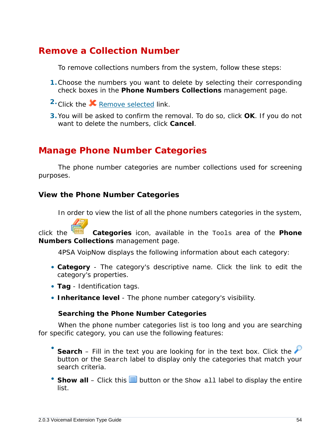### **Remove a Collection Number**

To remove collections numbers from the system, follow these steps:

- **1.**Choose the numbers you want to delete by selecting their corresponding check boxes in the **Phone Numbers Collections** management page.
- 2. Click the **X** Remove selected link.
- **3.**You will be asked to confirm the removal. To do so, click **OK**. If you do not want to delete the numbers, click **Cancel**.

### **Manage Phone Number Categories**

The phone number categories are number collections used for screening purposes.

**View the Phone Number Categories**

In order to view the list of all the phone numbers categories in the system,

click the **Categories** icon, available in the Tools area of the **Phone Numbers Collections** management page.

4PSA VoipNow displays the following information about each category:

- **Category** The category's descriptive name. Click the link to edit the category's properties.
- **Tag** Identification tags.
- **Inheritance level** The phone number category's visibility.

**Searching the Phone Number Categories**

When the phone number categories list is too long and you are searching for specific category, you can use the following features:

- Search – Fill in the text you are looking for in the text box. Click the button or the Search label to display only the categories that match your search criteria.
- Show all Click this  $\equiv$  button or the Show all label to display the entire list.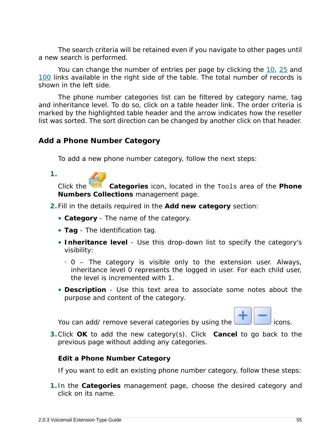The search criteria will be retained even if you navigate to other pages until a new search is performed.

You can change the number of entries per page by clicking the 10, 25 and 100 links available in the right side of the table. The total number of records is shown in the left side.

The phone number categories list can be filtered by category name, tag and inheritance level. To do so, click on a table header link. The order criteria is marked by the highlighted table header and the arrow indicates how the reseller list was sorted. The sort direction can be changed by another click on that header.

<span id="page-54-0"></span>**Add a Phone Number Category**

To add a new phone number category, follow the next steps:

| ٧<br>. . |  |
|----------|--|
|          |  |

Click the **Categories** icon, located in the Tools area of the **Phone Numbers Collections** management page.

- **2.**Fill in the details required in the **Add new category** section:
	- **Category** The name of the category.
	- **Tag** The identification tag.
	- **Inheritance level** Use this drop-down list to specify the category's visibility:
		- 0 The category is visible only to the extension user. Always, inheritance level 0 represents the logged in user. For each child user, the level is incremented with 1.
	- **Description** Use this text area to associate some notes about the purpose and content of the category.

You can add/ remove several categories by using the **interest and interest in the interest** icons.



**3.**Click **OK** to add the new category(s). Click **Cancel** to go back to the previous page without adding any categories.

**Edit a Phone Number Category**

If you want to edit an existing phone number category, follow these steps:

**1.** In the **Categories** management page, choose the desired category and click on its name.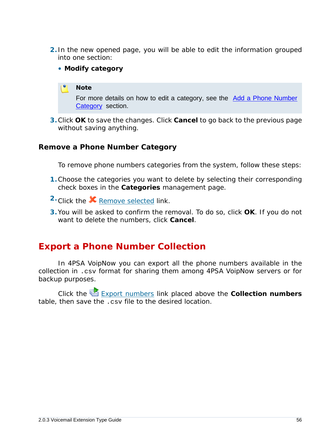- **2.** In the new opened page, you will be able to edit the information grouped into one section:
	- **Modify category**

#### **Note**

For more details on how to edit a category, see the [Add a Phone Number](#page-54-0) [Category](#page-54-0) section.

**3.**Click **OK** to save the changes. Click **Cancel** to go back to the previous page without saving anything.

### **Remove a Phone Number Category**

To remove phone numbers categories from the system, follow these steps:

- **1.**Choose the categories you want to delete by selecting their corresponding check boxes in the **Categories** management page.
- 2. Click the **X** Remove selected link.
- **3.**You will be asked to confirm the removal. To do so, click **OK**. If you do not want to delete the numbers, click **Cancel**.

### **Export a Phone Number Collection**

In 4PSA VoipNow you can export all the phone numbers available in the collection in .csv format for sharing them among 4PSA VoipNow servers or for backup purposes.

Click the Export numbers link placed above the **Collection numbers** table, then save the .csv file to the desired location.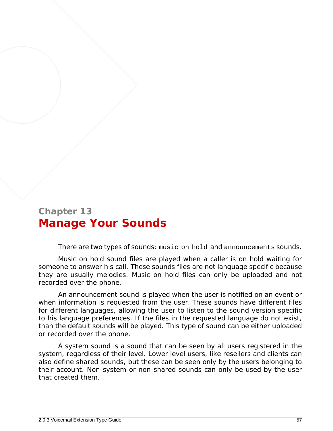# **Chapter 13 Manage Your Sounds**

There are two types of sounds: music on hold and announcements sounds.

Music on hold sound files are played when a caller is on hold waiting for someone to answer his call. These sounds files are not language specific because they are usually melodies. Music on hold files can only be uploaded and not recorded over the phone.

An announcement sound is played when the user is notified on an event or when information is requested from the user. These sounds have different files for different languages, allowing the user to listen to the sound version specific to his language preferences. If the files in the requested language do not exist, than the default sounds will be played. This type of sound can be either uploaded or recorded over the phone.

A system sound is a sound that can be seen by all users registered in the system, regardless of their level. Lower level users, like resellers and clients can also define shared sounds, but these can be seen only by the users belonging to their account. Non-system or non-shared sounds can only be used by the user that created them.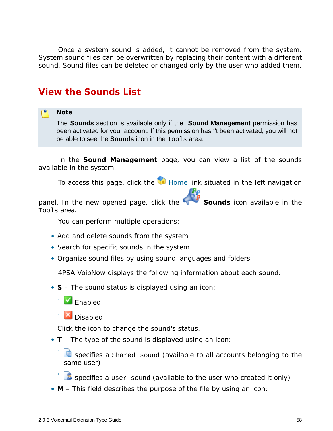Once a system sound is added, it cannot be removed from the system. System sound files can be overwritten by replacing their content with a different sound. Sound files can be deleted or changed only by the user who added them.

### **View the Sounds List**

#### **Note**

The **Sounds** section is available only if the **Sound Management** permission has been activated for your account. If this permission hasn't been activated, you will not be able to see the **Sounds** icon in the Tools area.

In the **Sound Management** page, you can view a list of the sounds available in the system.

To access this page, click the  $\blacksquare$  Home link situated in the left navigation

panel. In the new opened page, click the **Sounds** icon available in the Tools area.

You can perform multiple operations:

- Add and delete sounds from the system
- Search for specific sounds in the system
- Organize sound files by using sound languages and folders

4PSA VoipNow displays the following information about each sound:

- **S** The sound status is displayed using an icon:
	- $\sqrt{\ }$  Enabled

◦

◦

**X** Disabled

Click the icon to change the sound's status.

• **T** – The type of the sound is displayed using an icon:

◦ specifies a Shared sound (available to all accounts belonging to the same user)

specifies a User sound (available to the user who created it only)

• **M** – This field describes the purpose of the file by using an icon: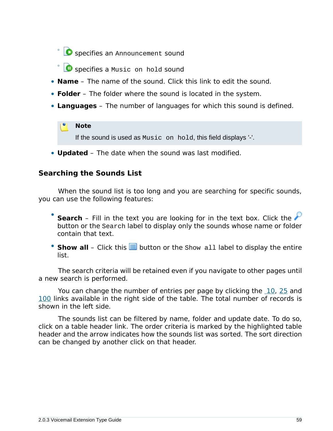◦ **O** specifies an Announcement sound

- **O** specifies a Music on hold sound
- **Name** The name of the sound. Click this link to edit the sound.
- **Folder** The folder where the sound is located in the system.
- **Languages** The number of languages for which this sound is defined.

### **Note**

If the sound is used as Music on hold, this field displays '-'.

• **Updated** – The date when the sound was last modified.

### **Searching the Sounds List**

When the sound list is too long and you are searching for specific sounds, you can use the following features:

- Search – Fill in the text you are looking for in the text box. Click the button or the Search label to display only the sounds whose name or folder contain that text.
- Show all Click this **in** button or the Show all label to display the entire list.

The search criteria will be retained even if you navigate to other pages until a new search is performed.

You can change the number of entries per page by clicking the 10, 25 and 100 links available in the right side of the table. The total number of records is shown in the left side.

The sounds list can be filtered by name, folder and update date. To do so, click on a table header link. The order criteria is marked by the highlighted table header and the arrow indicates how the sounds list was sorted. The sort direction can be changed by another click on that header.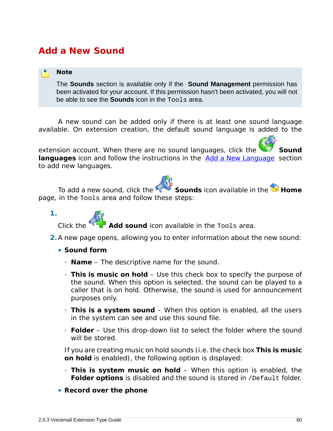# **Add a New Sound**

#### **Note**

The **Sounds** section is available only if the **Sound Management** permission has been activated for your account. If this permission hasn't been activated, you will not be able to see the **Sounds** icon in the Tools area.

A new sound can be added only if there is at least one sound language available. On extension creation, the default sound language is added to the

extension account. When there are no sound languages, click the **Sound** languages icon and follow the instructions in the **Add a New Language** section to add new languages.

To add a new sound, click the **Sounds** icon available in the **H** Home page, in the Tools area and follow these steps:



Add sound icon available in the Tools area.

- **2.**A new page opens, allowing you to enter information about the new sound:
	- **Sound form**
		- **Name** The descriptive name for the sound.
		- **This is music on hold** Use this check box to specify the purpose of the sound. When this option is selected, the sound can be played to a caller that is on hold. Otherwise, the sound is used for announcement purposes only.
		- **This is a system sound** When this option is enabled, all the users in the system can see and use this sound file.
		- **Folder** Use this drop-down list to select the folder where the sound will be stored.

If you are creating music on hold sounds (i.e. the check box **This is music on hold** is enabled), the following option is displayed:

- **This is system music on hold** When this option is enabled, the **Folder options** is disabled and the sound is stored in /Default folder.
- **Record over the phone**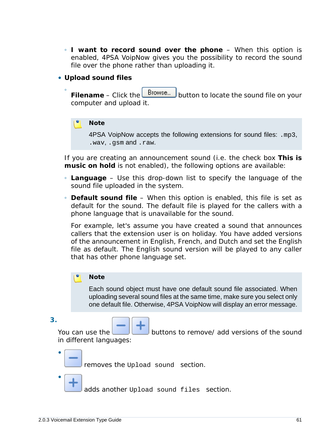- **I want to record sound over the phone** When this option is enabled, 4PSA VoipNow gives you the possibility to record the sound file over the phone rather than uploading it.
- **Upload sound files**
	- Filename – Click the **Browse...** button to locate the sound file on your computer and upload it.

**Note**

4PSA VoipNow accepts the following extensions for sound files: .mp3, .wav, .gsm and .raw.

If you are creating an announcement sound (i.e. the check box **This is music on hold** is not enabled), the following options are available:

- **Language** Use this drop-down list to specify the language of the sound file uploaded in the system.
- **Default sound file** When this option is enabled, this file is set as default for the sound. The default file is played for the callers with a phone language that is unavailable for the sound.

For example, let's assume you have created a sound that announces callers that the extension user is on holiday. You have added versions of the announcement in English, French, and Dutch and set the English file as default. The English sound version will be played to any caller that has other phone language set.

#### **Note**

Each sound object must have one default sound file associated. When uploading several sound files at the same time, make sure you select only one default file. Otherwise, 4PSA VoipNow will display an error message.

**3.**

•

•

You can use the **buttons to remove/** add versions of the sound in different languages:

removes the Upload sound section.

adds another Upload sound files section.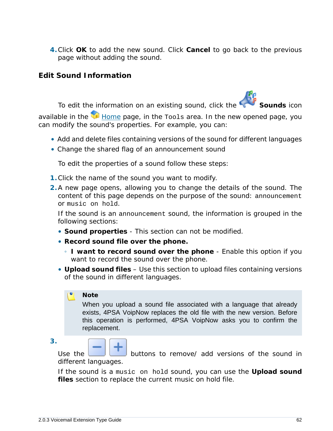**4.**Click **OK** to add the new sound. Click **Cancel** to go back to the previous page without adding the sound.

**Edit Sound Information**

To edit the information on an existing sound, click the **Sounds** icon

available in the  $\blacksquare$  Home page, in the  $\texttt{Tools}$  area. In the new opened page, you can modify the sound's properties. For example, you can:

- Add and delete files containing versions of the sound for different languages
- Change the shared flag of an announcement sound

To edit the properties of a sound follow these steps:

- **1.**Click the name of the sound you want to modify.
- **2.**A new page opens, allowing you to change the details of the sound. The content of this page depends on the purpose of the sound: announcement or music on hold.

If the sound is an announcement sound, the information is grouped in the following sections:

- **Sound properties** This section can not be modified.
- **Record sound file over the phone.**
	- **I want to record sound over the phone** Enable this option if you want to record the sound over the phone.
- **Upload sound files** Use this section to upload files containing versions of the sound in different languages.

### **Note**

When you upload a sound file associated with a language that already exists, 4PSA VoipNow replaces the old file with the new version. Before this operation is performed, 4PSA VoipNow asks you to confirm the replacement.

**3.**

Use the **buttons to remove** add versions of the sound in different languages.

If the sound is a music on hold sound, you can use the **Upload sound files** section to replace the current music on hold file.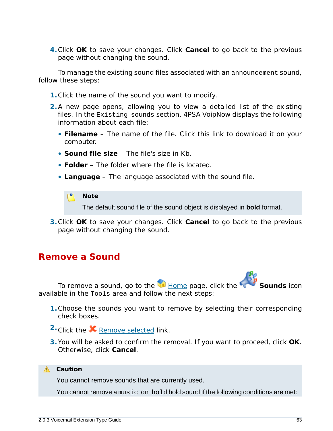**4.**Click **OK** to save your changes. Click **Cancel** to go back to the previous page without changing the sound.

To manage the existing sound files associated with an announcement sound, follow these steps:

- **1.**Click the name of the sound you want to modify.
- **2.**A new page opens, allowing you to view a detailed list of the existing files. In the Existing sounds section, 4PSA VoipNow displays the following information about each file:
	- **Filename** The name of the file. Click this link to download it on your computer.
	- **Sound file size** The file's size in Kb.
	- **Folder** The folder where the file is located.
	- **Language** The language associated with the sound file.



The default sound file of the sound object is displayed in **bold** format.

**3.**Click **OK** to save your changes. Click **Cancel** to go back to the previous page without changing the sound.

### **Remove a Sound**

To remove a sound, go to the **Home page, click the Sounds** icon available in the Tools area and follow the next steps:

- **1.**Choose the sounds you want to remove by selecting their corresponding check boxes.
- 2. Click the **X** Remove selected link.
- **3.**You will be asked to confirm the removal. If you want to proceed, click **OK**. Otherwise, click **Cancel**.
- **A** Caution

You cannot remove sounds that are currently used.

You cannot remove a music on hold hold sound if the following conditions are met: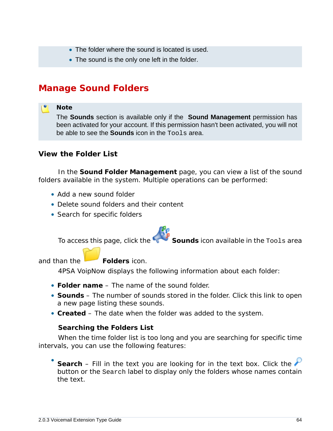- The folder where the sound is located is used.
- The sound is the only one left in the folder.

## **Manage Sound Folders**

### **Note**

The **Sounds** section is available only if the **Sound Management** permission has been activated for your account. If this permission hasn't been activated, you will not be able to see the **Sounds** icon in the Tools area.

**View the Folder List**

In the **Sound Folder Management** page, you can view a list of the sound folders available in the system. Multiple operations can be performed:

- Add a new sound folder
- Delete sound folders and their content
- Search for specific folders

To access this page, click the **Sounds** icon available in the Tools area

and than the **Folders** icon.

4PSA VoipNow displays the following information about each folder:

- **Folder name** The name of the sound folder.
- **Sounds** The number of sounds stored in the folder. Click this link to open a new page listing these sounds.
- **Created** The date when the folder was added to the system.

**Searching the Folders List**

When the time folder list is too long and you are searching for specific time intervals, you can use the following features:

• Search – Fill in the text you are looking for in the text box. Click the button or the Search label to display only the folders whose names contain the text.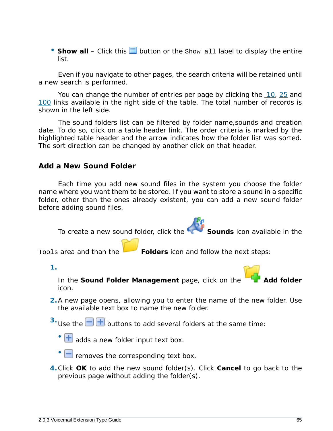• Show all – Click this  $\equiv$  button or the Show all label to display the entire list.

Even if you navigate to other pages, the search criteria will be retained until a new search is performed.

You can change the number of entries per page by clicking the 10, 25 and 100 links available in the right side of the table. The total number of records is shown in the left side.

The sound folders list can be filtered by folder name,sounds and creation date. To do so, click on a table header link. The order criteria is marked by the highlighted table header and the arrow indicates how the folder list was sorted. The sort direction can be changed by another click on that header.

### **Add a New Sound Folder**

Each time you add new sound files in the system you choose the folder name where you want them to be stored. If you want to store a sound in a specific folder, other than the ones already existent, you can add a new sound folder before adding sound files.



**1.**

In the Sound Folder Management page, click on the icon.

- **2.**A new page opens, allowing you to enter the name of the new folder. Use the available text box to name the new folder.
- <sup>3.</sup> Use the  $\Box$  **b** buttons to add several folders at the same time:

 $\cdot$   $\blacksquare$  adds a new folder input text box.

- $\Box$  removes the corresponding text box.
- **4.**Click **OK** to add the new sound folder(s). Click **Cancel** to go back to the previous page without adding the folder(s).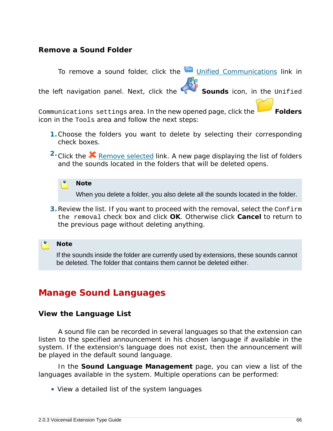### **Remove a Sound Folder**

To remove a sound folder, click the Unified Communications link in the left navigation panel. Next, click the **Sounds** icon, in the Unified Communications settings area. In the new opened page, click the **Folders** icon in the Tools area and follow the next steps:

- **1.**Choose the folders you want to delete by selecting their corresponding check boxes.
- <sup>2</sup> Click the **X** Remove selected link. A new page displaying the list of folders and the sounds located in the folders that will be deleted opens.

**Note** When you delete a folder, you also delete all the sounds located in the folder.

**3.**Review the list. If you want to proceed with the removal, select the Confirm the removal check box and click **OK**. Otherwise click **Cancel** to return to the previous page without deleting anything.

**Note**

If the sounds inside the folder are currently used by extensions, these sounds cannot be deleted. The folder that contains them cannot be deleted either.

### **Manage Sound Languages**

**View the Language List**

A sound file can be recorded in several languages so that the extension can listen to the specified announcement in his chosen language if available in the system. If the extension's language does not exist, then the announcement will be played in the default sound language.

In the **Sound Language Management** page, you can view a list of the languages available in the system. Multiple operations can be performed:

• View a detailed list of the system languages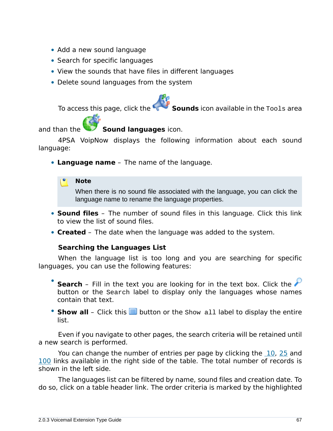- Add a new sound language
- Search for specific languages
- View the sounds that have files in different languages
- Delete sound languages from the system

To access this page, click the **Sounds** icon available in the Tools area

and than the **Sound languages** icon.

4PSA VoipNow displays the following information about each sound language:

• **Language name** – The name of the language.

### **Note**

When there is no sound file associated with the language, you can click the language name to rename the language properties.

- **Sound files** The number of sound files in this language. Click this link to view the list of sound files.
- **Created** The date when the language was added to the system.

**Searching the Languages List**

When the language list is too long and you are searching for specific languages, you can use the following features:

- Search – Fill in the text you are looking for in the text box. Click the button or the Search label to display only the languages whose names contain that text.
- Show all Click this  $\equiv$  button or the Show all label to display the entire list.

Even if you navigate to other pages, the search criteria will be retained until a new search is performed.

You can change the number of entries per page by clicking the 10, 25 and 100 links available in the right side of the table. The total number of records is shown in the left side.

The languages list can be filtered by name, sound files and creation date. To do so, click on a table header link. The order criteria is marked by the highlighted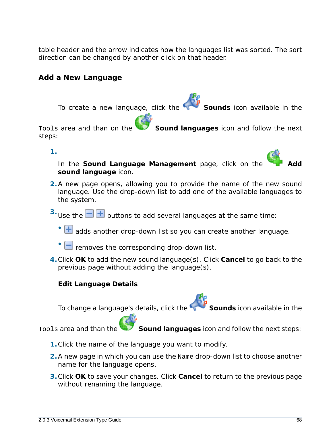table header and the arrow indicates how the languages list was sorted. The sort direction can be changed by another click on that header.

<span id="page-67-0"></span>**Add a New Language**

To create a new language, click the **Sounds** icon available in the

Tools area and than on the **Sound languages** icon and follow the next steps:

**1.**

In the Sound Language Management page, click on the **sound language** icon.

- **2.**A new page opens, allowing you to provide the name of the new sound language. Use the drop-down list to add one of the available languages to the system.
- $3.$  Use the  $\Box$  **+** buttons to add several languages at the same time:
	- $\cdot$   $\textcolor{red}{\textbf{+}}$  adds another drop-down list so you can create another language.
	- $\Box$  removes the corresponding drop-down list.
- **4.**Click **OK** to add the new sound language(s). Click **Cancel** to go back to the previous page without adding the language(s).

**Edit Language Details**

To change a language's details, click the **Sounds** icon available in the

Tools area and than the **Sound languages** icon and follow the next steps:

- **1.**Click the name of the language you want to modify.
- **2.**A new page in which you can use the Name drop-down list to choose another name for the language opens.
- **3.**Click **OK** to save your changes. Click **Cancel** to return to the previous page without renaming the language.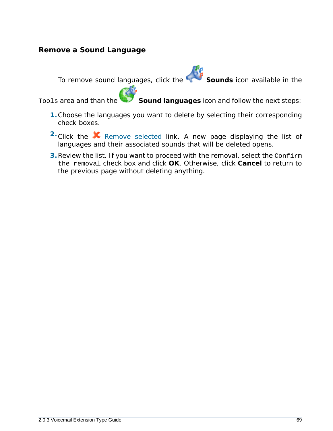### **Remove a Sound Language**

To remove sound languages, click the **Sounds** icon available in the

Tools area and than the **Sound languages** icon and follow the next steps:

- **1.**Choose the languages you want to delete by selecting their corresponding check boxes.
- <sup>2</sup> Click the **K** Remove selected link. A new page displaying the list of languages and their associated sounds that will be deleted opens.
- **3.**Review the list. If you want to proceed with the removal, select the Confirm the removal check box and click **OK**. Otherwise, click **Cancel** to return to the previous page without deleting anything.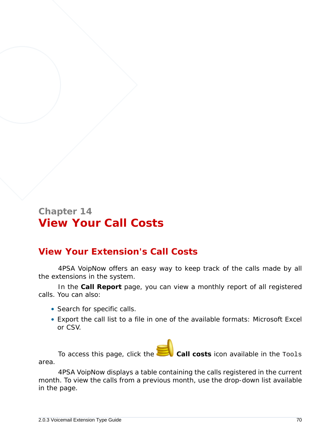# **Chapter 14 View Your Call Costs**

# **View Your Extension's Call Costs**

4PSA VoipNow offers an easy way to keep track of the calls made by all the extensions in the system.

In the **Call Report** page, you can view a monthly report of all registered calls. You can also:

- Search for specific calls.
- Export the call list to a file in one of the available formats: Microsoft Excel or CSV.

To access this page, click the **Call costs** icon available in the Tools area.

4PSA VoipNow displays a table containing the calls registered in the current month. To view the calls from a previous month, use the drop-down list available in the page.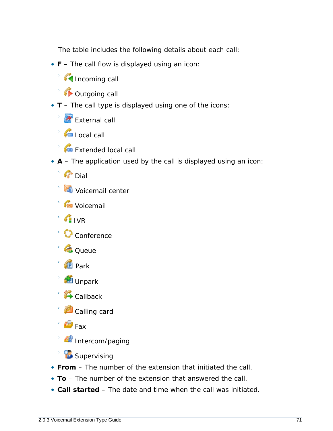The table includes the following details about each call:

- **F** The call flow is displayed using an icon:
	- Incoming call
	- Outgoing call
- **T** The call type is displayed using one of the icons:
	- **External call**
	- G Local call
	- **Cu** Extended local call
- **A** The application used by the call is displayed using an icon:
	- Dial
	- Voicemail center
	- Voicemail
	- IVR
	- Conference
	- Queue
	- Park
	- Unpark
	- Callback
	- Calling card
	- $\mathbb{F}$  Fax
	- Intercom/paging
	- **B** Supervising
- **From** The number of the extension that initiated the call.
- **To** The number of the extension that answered the call.
- **Call started** The date and time when the call was initiated.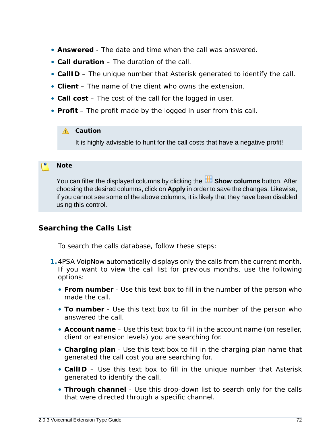- **Answered** The date and time when the call was answered.
- **Call duration** The duration of the call.
- **CallID** The unique number that Asterisk generated to identify the call.
- **Client** The name of the client who owns the extension.
- **Call cost** The cost of the call for the logged in user.
- **Profit** The profit made by the logged in user from this call.

### **A** Caution

It is highly advisable to hunt for the call costs that have a negative profit!

### **Note**

You can filter the displayed columns by clicking the **BE Show columns** button. After choosing the desired columns, click on **Apply** in order to save the changes. Likewise, if you cannot see some of the above columns, it is likely that they have been disabled using this control.

### **Searching the Calls List**

To search the calls database, follow these steps:

- **1.**4PSA VoipNow automatically displays only the calls from the current month. If you want to view the call list for previous months, use the following options:
	- **From number** Use this text box to fill in the number of the person who made the call.
	- **To number** Use this text box to fill in the number of the person who answered the call.
	- **Account name** Use this text box to fill in the account name (on reseller, client or extension levels) you are searching for.
	- **Charging plan**  Use this text box to fill in the charging plan name that generated the call cost you are searching for.
	- **CallID** Use this text box to fill in the unique number that Asterisk generated to identify the call.
	- **Through channel** Use this drop-down list to search only for the calls that were directed through a specific channel.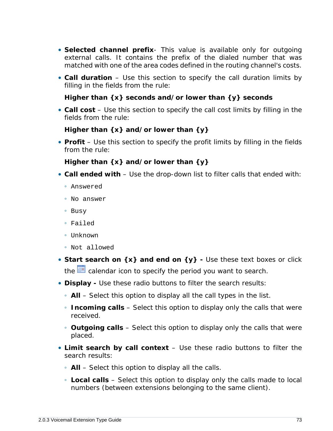- **Selected channel prefix** This value is available only for outgoing external calls. It contains the prefix of the dialed number that was matched with one of the area codes defined in the routing channel's costs.
- **Call duration** Use this section to specify the call duration limits by filling in the fields from the rule:

**Higher than {x} seconds and/or lower than {y} seconds**

• **Call cost** – Use this section to specify the call cost limits by filling in the fields from the rule:

```
Higher than {x} and/or lower than {y}
```
• **Profit** – Use this section to specify the profit limits by filling in the fields from the rule:

**Higher than {x} and/or lower than {y}**

- **Call ended with** Use the drop-down list to filter calls that ended with:
	- Answered
	- No answer
	- Busy
	- Failed
	- Unknown
	- Not allowed
- Start search on {x} and end on {y} Use these text boxes or click the  $\equiv$  calendar icon to specify the period you want to search.
- **Display -** Use these radio buttons to filter the search results:
	- **All** Select this option to display all the call types in the list.
	- **Incoming calls** Select this option to display only the calls that were received.
	- **Outgoing calls** Select this option to display only the calls that were placed.
- **Limit search by call context** Use these radio buttons to filter the search results:
	- **All** Select this option to display all the calls.
	- **Local calls** Select this option to display only the calls made to local numbers (between extensions belonging to the same client).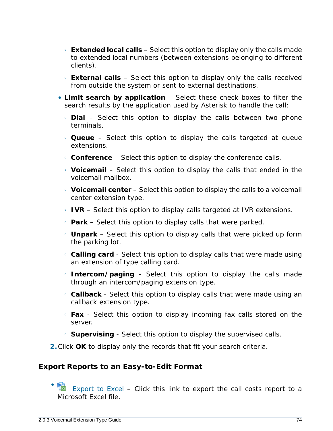- **Extended local calls** Select this option to display only the calls made to extended local numbers (between extensions belonging to different clients).
- **External calls** Select this option to display only the calls received from outside the system or sent to external destinations.
- **Limit search by application** Select these check boxes to filter the search results by the application used by Asterisk to handle the call:
	- **Dial** Select this option to display the calls between two phone terminals.
	- **Queue** Select this option to display the calls targeted at queue extensions.
	- **Conference** Select this option to display the conference calls.
	- **Voicemail** Select this option to display the calls that ended in the voicemail mailbox.
	- **Voicemail center** Select this option to display the calls to a voicemail center extension type.
	- **IVR** Select this option to display calls targeted at IVR extensions.
	- **Park** Select this option to display calls that were parked.
	- **Unpark** Select this option to display calls that were picked up form the parking lot.
	- **Calling card** Select this option to display calls that were made using an extension of type calling card.
	- **Intercom/paging** Select this option to display the calls made through an intercom/paging extension type.
	- **Callback** Select this option to display calls that were made using an callback extension type.
	- **Fax** Select this option to display incoming fax calls stored on the server.
	- **Supervising** Select this option to display the supervised calls.
- **2.**Click **OK** to display only the records that fit your search criteria.

### **Export Reports to an Easy-to-Edit Format**

• **EXPORT CONTER 15 EXPORT TO EXCEL – Click this link to export the call costs report to a** Microsoft Excel file.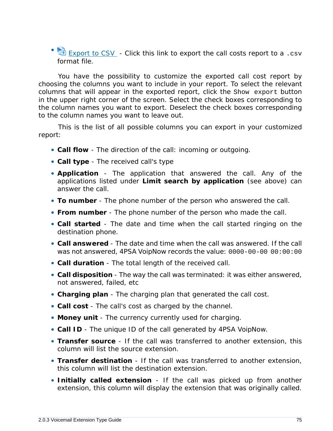• **B** Export to CSV - Click this link to export the call costs report to a .csv format file.

You have the possibility to customize the exported call cost report by choosing the columns you want to include in your report. To select the relevant columns that will appear in the exported report, click the Show export button in the upper right corner of the screen. Select the check boxes corresponding to the column names you want to export. Deselect the check boxes corresponding to the column names you want to leave out.

This is the list of all possible columns you can export in your customized report:

- **Call flow** The direction of the call: incoming or outgoing.
- **Call type** The received call's type
- **Application** The application that answered the call. Any of the applications listed under **Limit search by application** (see above) can answer the call.
- **To number** The phone number of the person who answered the call.
- **From number** The phone number of the person who made the call.
- **Call started** The date and time when the call started ringing on the destination phone.
- **Call answered** The date and time when the call was answered. If the call was not answered, 4PSA VoipNow records the value: 0000-00-00 00:00:00
- **Call duration** The total length of the received call.
- **Call disposition** The way the call was terminated: it was either answered, not answered, failed, etc
- **Charging plan** The charging plan that generated the call cost.
- **Call cost** The call's cost as charged by the channel.
- **Money unit** The currency currently used for charging.
- **Call ID** The unique ID of the call generated by 4PSA VoipNow.
- **Transfer source** If the call was transferred to another extension, this column will list the source extension.
- **Transfer destination** If the call was transferred to another extension, this column will list the destination extension.
- **Initially called extension** If the call was picked up from another extension, this column will display the extension that was originally called.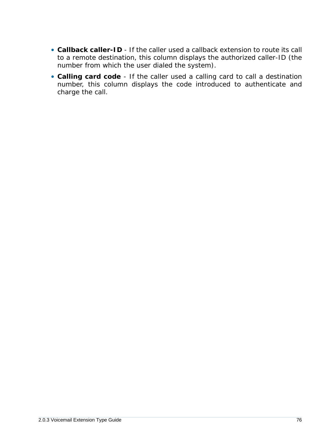- **Callback caller-ID** If the caller used a callback extension to route its call to a remote destination, this column displays the authorized caller-ID (the number from which the user dialed the system).
- **Calling card code** If the caller used a calling card to call a destination number, this column displays the code introduced to authenticate and charge the call.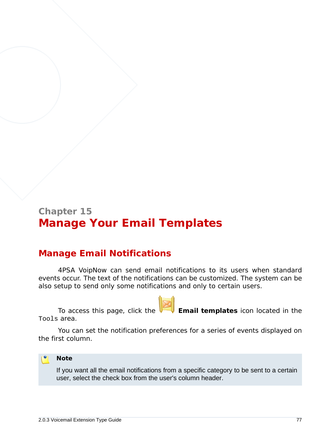# **Chapter 15 Manage Your Email Templates**

# **Manage Email Notifications**

4PSA VoipNow can send email notifications to its users when standard events occur. The text of the notifications can be customized. The system can be also setup to send only some notifications and only to certain users.

To access this page, click the **Email templates** icon located in the Tools area.

You can set the notification preferences for a series of events displayed on the first column.



If you want all the email notifications from a specific category to be sent to a certain user, select the check box from the user's column header.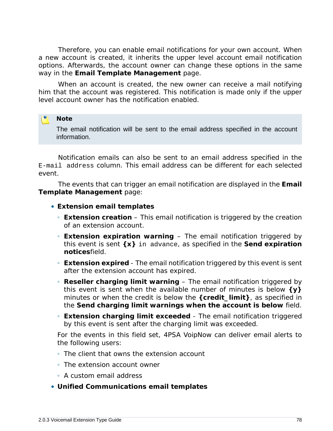Therefore, you can enable email notifications for your own account. When a new account is created, it inherits the upper level account email notification options. Afterwards, the account owner can change these options in the same way in the **Email Template Management** page.

When an account is created, the new owner can receive a mail notifying him that the account was registered. This notification is made only if the upper level account owner has the notification enabled.

#### r. **Note**

The email notification will be sent to the email address specified in the account information.

Notification emails can also be sent to an email address specified in the E-mail address column. This email address can be different for each selected event.

The events that can trigger an email notification are displayed in the **Email Template Management** page:

- **Extension email templates**
	- **Extension creation** This email notification is triggered by the creation of an extension account.
	- **Extension expiration warning** The email notification triggered by this event is sent **{x}** in advance, as specified in the **Send expiration notices**field.
	- **Extension expired** The email notification triggered by this event is sent after the extension account has expired.
	- **Reseller charging limit warning** The email notification triggered by this event is sent when the available number of minutes is below **{y}** minutes or when the credit is below the **{credit\_limit}**, as specified in the **Send charging limit warnings when the account is below** field.
	- **Extension charging limit exceeded** The email notification triggered by this event is sent after the charging limit was exceeded.

For the events in this field set, 4PSA VoipNow can deliver email alerts to the following users:

- The client that owns the extension account
- The extension account owner
- A custom email address
- **Unified Communications email templates**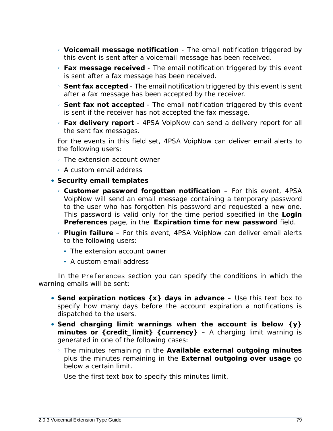- **Voicemail message notification** The email notification triggered by this event is sent after a voicemail message has been received.
- **Fax message received** The email notification triggered by this event is sent after a fax message has been received.
- **Sent fax accepted** The email notification triggered by this event is sent after a fax message has been accepted by the receiver.
- **Sent fax not accepted** The email notification triggered by this event is sent if the receiver has not accepted the fax message.
- **Fax delivery report** 4PSA VoipNow can send a delivery report for all the sent fax messages.

For the events in this field set, 4PSA VoipNow can deliver email alerts to the following users:

- The extension account owner
- A custom email address
- **Security email templates**
	- **Customer password forgotten notification** For this event, 4PSA VoipNow will send an email message containing a temporary password to the user who has forgotten his password and requested a new one. This password is valid only for the time period specified in the **Login Preferences** page, in the **Expiration time for new password** field.
	- **Plugin failure** For this event, 4PSA VoipNow can deliver email alerts to the following users:
		- The extension account owner
		- A custom email address

In the Preferences section you can specify the conditions in which the warning emails will be sent:

- **Send expiration notices {x} days in advance** Use this text box to specify how many days before the account expiration a notifications is dispatched to the users.
- **Send charging limit warnings when the account is below {y} minutes or {credit\_limit} {currency}** – A charging limit warning is generated in one of the following cases:
	- The minutes remaining in the **Available external outgoing minutes** plus the minutes remaining in the **External outgoing over usage** go below a certain limit.

Use the first text box to specify this minutes limit.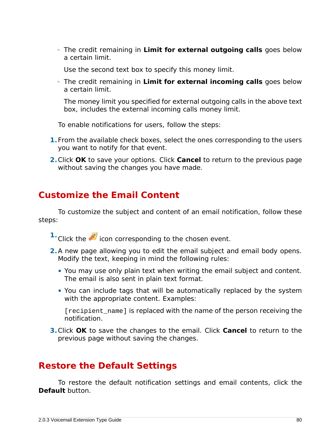◦ The credit remaining in **Limit for external outgoing calls** goes below a certain limit.

Use the second text box to specify this money limit.

◦ The credit remaining in **Limit for external incoming calls** goes below a certain limit.

The money limit you specified for external outgoing calls in the above text box, includes the external incoming calls money limit.

To enable notifications for users, follow the steps:

- **1.**From the available check boxes, select the ones corresponding to the users you want to notify for that event.
- **2.**Click **OK** to save your options. Click **Cancel** to return to the previous page without saving the changes you have made.

# **Customize the Email Content**

To customize the subject and content of an email notification, follow these steps:

- <sup>1.</sup> Click the **i**con corresponding to the chosen event.
- **2.**A new page allowing you to edit the email subject and email body opens. Modify the text, keeping in mind the following rules:
	- You may use only plain text when writing the email subject and content. The email is also sent in plain text format.
	- You can include tags that will be automatically replaced by the system with the appropriate content. Examples:

[recipient\_name] is replaced with the name of the person receiving the notification.

**3.**Click **OK** to save the changes to the email. Click **Cancel** to return to the previous page without saving the changes.

# **Restore the Default Settings**

To restore the default notification settings and email contents, click the **Default** button.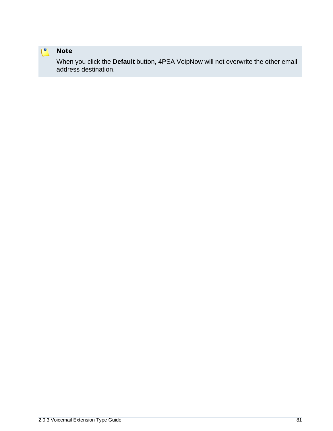

## **Note**

When you click the **Default** button, 4PSA VoipNow will not overwrite the other email address destination.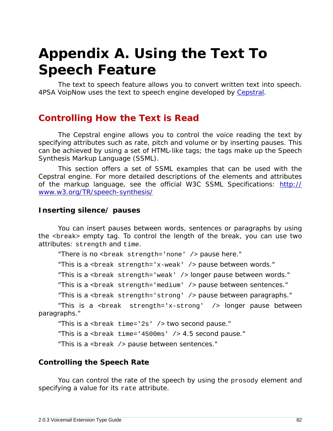# **Appendix A. Using the Text To Speech Feature**

The text to speech feature allows you to convert written text into speech. 4PSA VoipNow uses the text to speech engine developed by [Cepstral.](http://www.cepstral.com)

# **Controlling How the Text is Read**

The Cepstral engine allows you to control the voice reading the text by specifying attributes such as rate, pitch and volume or by inserting pauses. This can be achieved by using a set of HTML-like tags; the tags make up the Speech Synthesis Markup Language (SSML).

This section offers a set of SSML examples that can be used with the Cepstral engine. For more detailed descriptions of the elements and attributes of the markup language, see the official W3C SSML Specifications: [http://](http://www.w3.org/TR/speech-synthesis/) [www.w3.org/TR/speech-synthesis/](http://www.w3.org/TR/speech-synthesis/)

### **Inserting silence/ pauses**

You can insert pauses between words, sentences or paragraphs by using the <break> empty tag. To control the length of the break, you can use two attributes: strength and time.

"There is no <break strength='none' /> pause here."

"This is a <br eak  $strength='x-weak'$  /> pause between words."

"This is a <break strength='weak' /> longer pause between words."

"This is a <break strength='medium' /> pause between sentences."

"This is a <break strength='strong' /> pause between paragraphs."

"This is a <break strength='x-strong' /> longer pause between paragraphs."

"This is a <break time='2s' /> two second pause."

"This is a <br eak time='4500ms'  $/$  > 4.5 second pause."

"This is a <break /> pause between sentences."

### **Controlling the Speech Rate**

You can control the rate of the speech by using the prosody element and specifying a value for its rate attribute.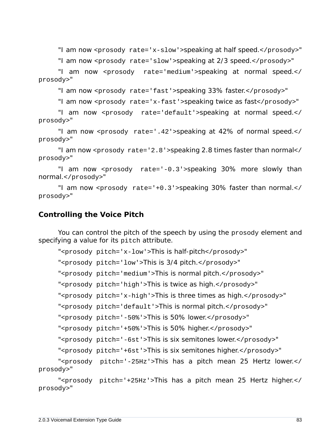"I am now <prosody rate='x-slow'>speaking at half speed.</prosody>"

"I am now <prosody rate='slow'>speaking at 2/3 speed.</prosody>"

"I am now <prosody rate='medium'>speaking at normal speed.</ prosody>"

"I am now <prosody rate='fast'>speaking 33% faster.</prosody>"

"I am now <prosody rate='x-fast'>speaking twice as fast</prosody>"

"I am now <prosody rate='default'>speaking at normal speed.</ prosody>"

"I am now <prosody rate='.42'>speaking at 42% of normal speed.</ prosody>"

"I am now <prosody rate='2.8'>speaking 2.8 times faster than normal</ prosody>"

"I am now <prosody rate='-0.3'>speaking 30% more slowly than normal.</prosody>"

"I am now <prosody rate='+0.3'>speaking 30% faster than normal.</ prosody>"

**Controlling the Voice Pitch**

You can control the pitch of the speech by using the prosody element and specifying a value for its pitch attribute.

"<prosody pitch='x-low'>This is half-pitch</prosody>"

"<prosody pitch='low'>This is 3/4 pitch.</prosody>"

"<prosody pitch='medium'>This is normal pitch.</prosody>"

"<prosody pitch='high'>This is twice as high.</prosody>"

"<prosody pitch='x-high'>This is three times as high.</prosody>"

"<prosody pitch='default'>This is normal pitch.</prosody>"

"<prosody pitch='-50%'>This is 50% lower.</prosody>"

"<prosody pitch='+50%'>This is 50% higher.</prosody>"

"<prosody pitch='-6st'>This is six semitones lower.</prosody>"

"<prosody pitch='+6st'>This is six semitones higher.</prosody>"

"<prosody pitch='-25Hz'>This has a pitch mean 25 Hertz lower.</ prosody>"

"<prosody pitch='+25Hz'>This has a pitch mean 25 Hertz higher.</ prosody>"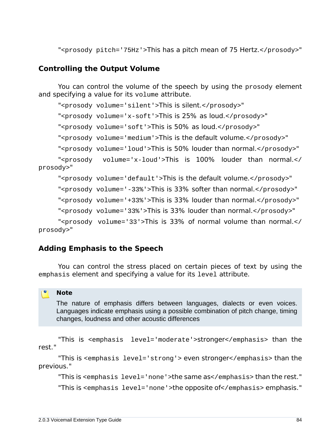"<prosody pitch='75Hz'>This has a pitch mean of 75 Hertz.</prosody>"

# **Controlling the Output Volume**

You can control the volume of the speech by using the prosody element and specifying a value for its volume attribute.

"<prosody volume='silent'>This is silent.</prosody>"

"<prosody volume='x-soft'>This is 25% as loud.</prosody>"

"<prosody volume='soft'>This is 50% as loud.</prosody>"

"<prosody volume='medium'>This is the default volume.</prosody>"

"<prosody volume='loud'>This is 50% louder than normal.</prosody>"

"<prosody volume='x-loud'>This is 100% louder than normal.</ prosody>"

"<prosody volume='default'>This is the default volume.</prosody>"

"<prosody volume='-33%'>This is 33% softer than normal.</prosody>"

"<prosody volume='+33%'>This is 33% louder than normal.</prosody>"

"<prosody volume='33%'>This is 33% louder than normal.</prosody>"

"<prosody volume='33'>This is 33% of normal volume than normal.</ prosody>"

### **Adding Emphasis to the Speech**

You can control the stress placed on certain pieces of text by using the emphasis element and specifying a value for its level attribute.

#### **Note**

The nature of emphasis differs between languages, dialects or even voices. Languages indicate emphasis using a possible combination of pitch change, timing changes, loudness and other acoustic differences

"This is <emphasis level='moderate'>stronger</emphasis> than the rest."

"This is <emphasis level='strong'> even stronger</emphasis> than the previous."

"This is <emphasis level='none'>the same as</emphasis> than the rest."

"This is <emphasis level='none'>the opposite of</emphasis> emphasis."